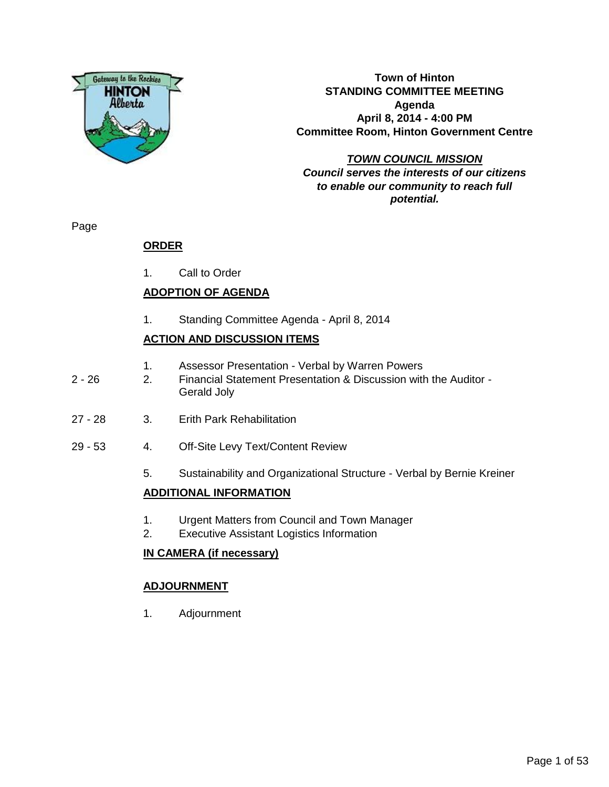

**Town of Hinton STANDING COMMITTEE MEETING Agenda April 8, 2014 - 4:00 PM Committee Room, Hinton Government Centre**

# **TOWN COUNCIL MISSION Council serves the interests of our citizens to enable our community to reach full potential.**

Page

# **ORDER**

1. Call to Order

# **ADOPTION OF AGENDA**

1. Standing Committee Agenda - April 8, 2014

# **ACTION AND DISCUSSION ITEMS**

- 1. Assessor Presentation Verbal by Warren Powers
- 2 26 2. Financial Statement Presentation & Discussion with the Auditor Gerald Joly
- 27 28 3. Erith Park Rehabilitation
- 29 53 4. Off-Site Levy Text/Content Review
	- 5. Sustainability and Organizational Structure Verbal by Bernie Kreiner

# **ADDITIONAL INFORMATION**

- 1. Urgent Matters from Council and Town Manager
- 2. Executive Assistant Logistics Information

# **IN CAMERA (if necessary)**

# **ADJOURNMENT**

1. Adjournment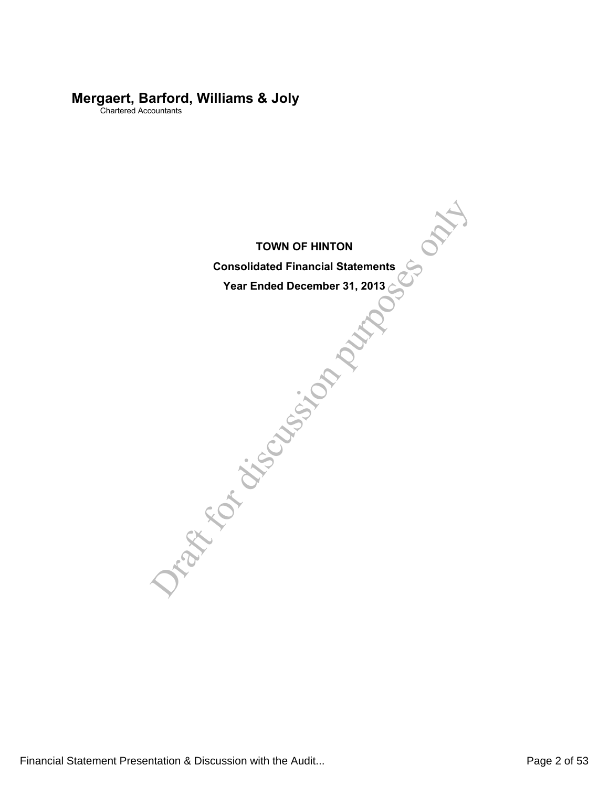# **Mergaert, Barford, Williams & Joly**

Chartered Accountants

TOWN OF HINTON<br>Consolidated Financial Statements<br>Year Ended December 31, 2013 **TOWN OF HINTON**

**Consolidated Financial Statements**

**Year Ended December 31, 2013**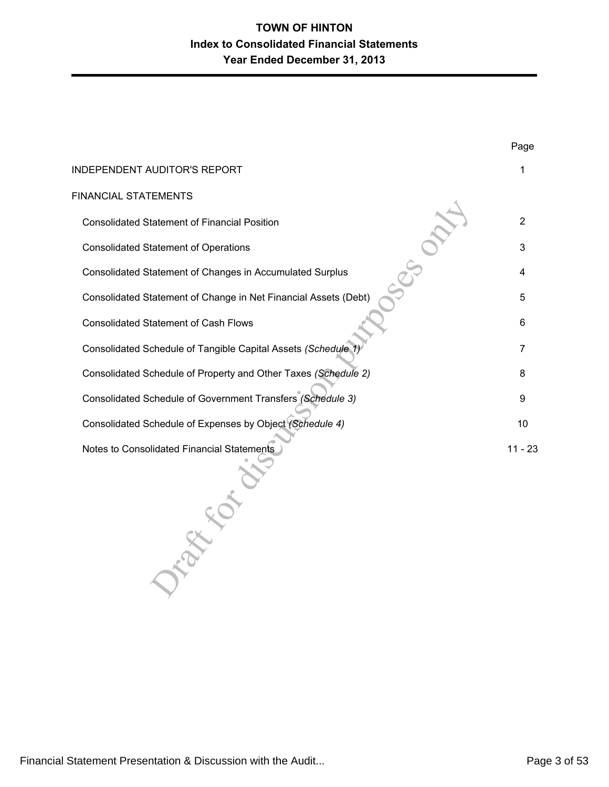| INDEPENDENT AUDITOR'S REPORT                                    |                |
|-----------------------------------------------------------------|----------------|
| FINANCIAL STATEMENTS                                            |                |
| <b>Consolidated Statement of Financial Position</b>             | $\overline{2}$ |
| <b>Consolidated Statement of Operations</b>                     | 3              |
| Consolidated Statement of Changes in Accumulated Surplus        | 4              |
| Consolidated Statement of Change in Net Financial Assets (Debt) | 5              |
| <b>Consolidated Statement of Cash Flows</b>                     | 6              |
| Consolidated Schedule of Tangible Capital Assets (Schedule 1)   | 7              |
| Consolidated Schedule of Property and Other Taxes (Schedule 2)  | 8              |
| Consolidated Schedule of Government Transfers (Schedule 3)      | 9              |
| Consolidated Schedule of Expenses by Object (Schedule 4)        | 10             |
| Notes to Consolidated Financial Statements                      | $11 - 23$      |
|                                                                 |                |

Page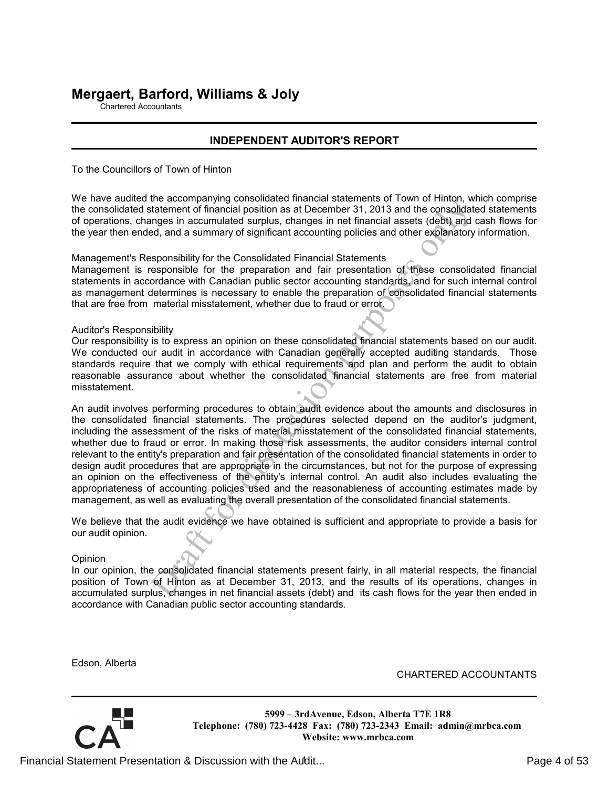# **Mergaert, Barford, Williams & Joly**

Chartered Accountants

# **INDEPENDENT AUDITOR'S REPORT**

To the Councillors of Town of Hinton

We have audited the accompanying consolidated financial statements of Town of Hinton, which comprise the consolidated statement of financial position as at December 31, 2013 and the consolidated statements of operations, changes in accumulated surplus, changes in net financial assets (debt) and cash flows for the year then ended, and a summary of significant accounting policies and other explanatory information.

Management's Responsibility for the Consolidated Financial Statements

Management is responsible for the preparation and fair presentation of these consolidated financial statements in accordance with Canadian public sector accounting standards, and for such internal control as management determines is necessary to enable the preparation of consolidated financial statements that are free from material misstatement, whether due to fraud or error.

Auditor's Responsibility

Our responsibility is to express an opinion on these consolidated financial statements based on our audit. We conducted our audit in accordance with Canadian generally accepted auditing standards. Those standards require that we comply with ethical requirements and plan and perform the audit to obtain reasonable assurance about whether the consolidated financial statements are free from material misstatement.

and the mountual statement of financial position as at December 31, 2013 and the consolidatement of financial abstition as at December 31, 2013 and the consolidatement of financial abstition as at December 31, 2013 and the An audit involves performing procedures to obtain audit evidence about the amounts and disclosures in the consolidated financial statements. The procedures selected depend on the auditor's judgment, including the assessment of the risks of material misstatement of the consolidated financial statements, whether due to fraud or error. In making those risk assessments, the auditor considers internal control relevant to the entity's preparation and fair presentation of the consolidated financial statements in order to design audit procedures that are appropriate in the circumstances, but not for the purpose of expressing an opinion on the effectiveness of the entity's internal control. An audit also includes evaluating the appropriateness of accounting policies used and the reasonableness of accounting estimates made by management, as well as evaluating the overall presentation of the consolidated financial statements.

We believe that the audit evidence we have obtained is sufficient and appropriate to provide a basis for our audit opinion.

Opinion

In our opinion, the consolidated financial statements present fairly, in all material respects, the financial position of Town of Hinton as at December 31, 2013, and the results of its operations, changes in accumulated surplus, changes in net financial assets (debt) and its cash flows for the year then ended in accordance with Canadian public sector accounting standards.

**Website: www.mrbca.com**

Edson, Alberta

CHARTERED ACCOUNTANTS

**5999 – 3rdAvenue, Edson, Alberta T7E 1R8 Telephone: (780) 723-4428 Fax: (780) 723-2343 Email: admin@mrbca.com**

Financial Statement Presentation & Discussion with the Audit... The endotermination of 53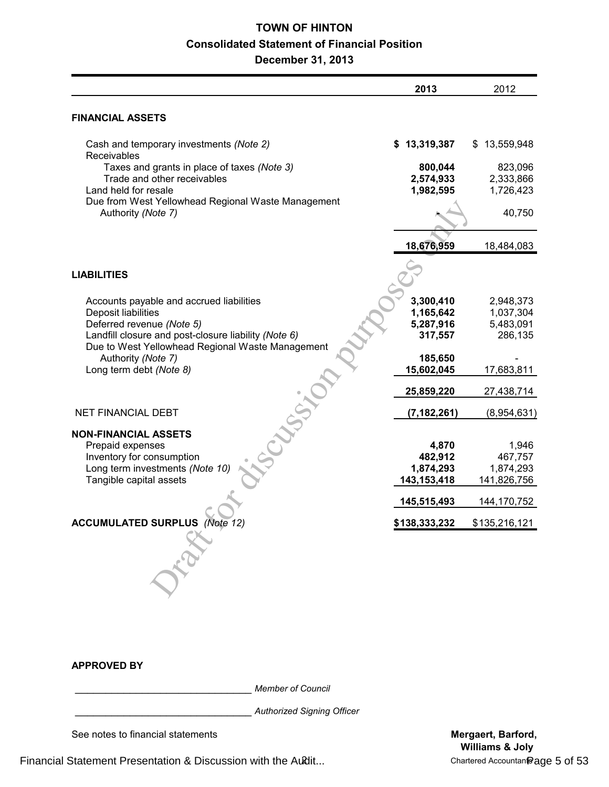# **TOWN OF HINTON Consolidated Statement of Financial Position**

**December 31, 2013**

|                                                                                                                                                      | 2013                                           | 2012                                           |
|------------------------------------------------------------------------------------------------------------------------------------------------------|------------------------------------------------|------------------------------------------------|
| <b>FINANCIAL ASSETS</b>                                                                                                                              |                                                |                                                |
| Cash and temporary investments (Note 2)<br>Receivables                                                                                               | \$13,319,387                                   | \$13,559,948                                   |
| Taxes and grants in place of taxes (Note 3)<br>Trade and other receivables<br>Land held for resale                                                   | 800,044<br>2,574,933<br>1,982,595              | 823,096<br>2,333,866<br>1,726,423              |
| Due from West Yellowhead Regional Waste Management<br>Authority (Note 7)                                                                             |                                                | 40,750                                         |
|                                                                                                                                                      | 18,676,959                                     | 18,484,083                                     |
| <b>LIABILITIES</b>                                                                                                                                   |                                                |                                                |
| Accounts payable and accrued liabilities<br>Deposit liabilities<br>Deferred revenue (Note 5)<br>Landfill closure and post-closure liability (Note 6) | 3,300,410<br>1,165,642<br>5,287,916<br>317,557 | 2,948,373<br>1,037,304<br>5,483,091<br>286,135 |
| Due to West Yellowhead Regional Waste Management<br>Authority (Note 7)<br>Long term debt (Note 8)                                                    | 185,650<br>15,602,045                          | 17,683,811                                     |
|                                                                                                                                                      | 25,859,220                                     | 27,438,714                                     |
| NET FINANCIAL DEBT                                                                                                                                   | (7, 182, 261)                                  | (8,954,631)                                    |
| <b>NON-FINANCIAL ASSETS</b><br>Prepaid expenses<br>Inventory for consumption<br>Long term investments (Note 10)<br>Tangible capital assets           | 4,870<br>482,912<br>1,874,293<br>143,153,418   | 1,946<br>467,757<br>1,874,293<br>141,826,756   |
|                                                                                                                                                      | 145,515,493                                    | 144, 170, 752                                  |
|                                                                                                                                                      | \$138.333.232                                  | \$135,216,121                                  |
| ACCUMULATED SURPLUS (Note                                                                                                                            |                                                |                                                |

## **APPROVED BY**

\_\_\_\_\_\_\_\_\_\_\_\_\_\_\_\_\_\_\_\_\_\_\_\_\_\_\_\_\_ *Member of Council*

\_\_\_\_\_\_\_\_\_\_\_\_\_\_\_\_\_\_\_\_\_\_\_\_\_\_\_\_\_ *Authorized Signing Officer*

See notes to financial statements **Mergaert, Barford, Mergaert, Barford,**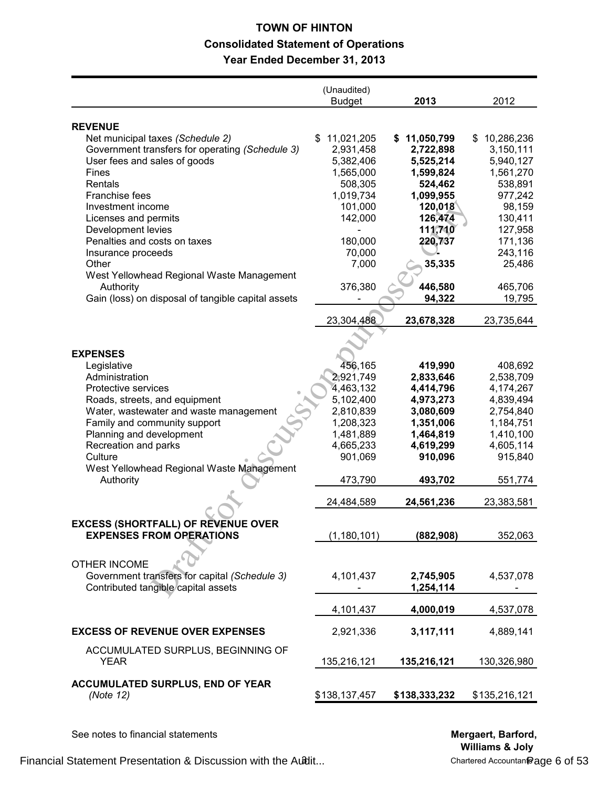# **TOWN OF HINTON Consolidated Statement of Operations Year Ended December 31, 2013**

|                                                                                     | (Unaudited)<br><b>Budget</b> | 2013                      | 2012                          |
|-------------------------------------------------------------------------------------|------------------------------|---------------------------|-------------------------------|
|                                                                                     |                              |                           |                               |
| <b>REVENUE</b>                                                                      | 11,021,205                   |                           |                               |
| Net municipal taxes (Schedule 2)<br>Government transfers for operating (Schedule 3) | S<br>2,931,458               | \$11,050,799<br>2,722,898 | 10,286,236<br>\$<br>3,150,111 |
| User fees and sales of goods                                                        | 5,382,406                    | 5,525,214                 | 5,940,127                     |
| <b>Fines</b>                                                                        | 1,565,000                    | 1,599,824                 | 1,561,270                     |
| Rentals                                                                             | 508,305                      | 524,462                   | 538,891                       |
| <b>Franchise fees</b>                                                               | 1,019,734                    | 1,099,955                 | 977,242                       |
| Investment income                                                                   | 101,000                      | 120,018                   | 98,159                        |
| Licenses and permits                                                                | 142,000                      | 126,474                   | 130,411                       |
| Development levies                                                                  |                              | 111,710                   | 127,958                       |
| Penalties and costs on taxes                                                        | 180,000                      | 220,737                   | 171,136                       |
| Insurance proceeds                                                                  | 70,000                       |                           | 243,116                       |
| Other                                                                               | 7,000                        | 35,335                    | 25,486                        |
| West Yellowhead Regional Waste Management                                           |                              |                           |                               |
| Authority                                                                           | 376,380                      | 446,580                   | 465,706                       |
| Gain (loss) on disposal of tangible capital assets                                  |                              | 94,322                    | 19,795                        |
|                                                                                     |                              |                           |                               |
|                                                                                     | 23,304,488                   | 23,678,328                | 23,735,644                    |
|                                                                                     |                              |                           |                               |
|                                                                                     |                              |                           |                               |
| <b>EXPENSES</b>                                                                     |                              |                           |                               |
| Legislative                                                                         | 456,165                      | 419,990                   | 408,692                       |
| Administration                                                                      | 2,921,749                    | 2,833,646                 | 2,538,709                     |
| Protective services                                                                 | 4,463,132                    | 4,414,796                 | 4,174,267                     |
| Roads, streets, and equipment                                                       | 5,102,400                    | 4,973,273                 | 4,839,494                     |
| Water, wastewater and waste management                                              | 2,810,839                    | 3,080,609                 | 2,754,840                     |
| Family and community support                                                        | 1,208,323                    | 1,351,006                 | 1,184,751                     |
| Planning and development                                                            | 1,481,889                    | 1,464,819                 | 1,410,100                     |
| Recreation and parks                                                                | 4,665,233                    | 4,619,299                 | 4,605,114                     |
| Culture                                                                             | 901,069                      | 910,096                   | 915,840                       |
| West Yellowhead Regional Waste Management                                           |                              |                           |                               |
| Authority                                                                           | 473,790                      | 493,702                   | 551,774                       |
|                                                                                     | 24,484,589                   | 24,561,236                | 23,383,581                    |
|                                                                                     |                              |                           |                               |
| EXUESS (SHURTFALL) UF REVENUE UVER                                                  |                              |                           |                               |
| <b>EXPENSES FROM OPERATIONS</b>                                                     | (1, 180, 101)                | (882,908)                 | 352,063                       |
|                                                                                     |                              |                           |                               |
| <b>OTHER INCOME</b>                                                                 |                              |                           |                               |
| Government transfers for capital (Schedule 3)                                       | 4,101,437                    |                           | 4,537,078                     |
| Contributed tangible capital assets                                                 |                              | 2,745,905<br>1,254,114    |                               |
|                                                                                     |                              |                           |                               |
|                                                                                     | 4,101,437                    | 4,000,019                 | 4,537,078                     |
|                                                                                     |                              |                           |                               |
| <b>EXCESS OF REVENUE OVER EXPENSES</b>                                              | 2,921,336                    | 3,117,111                 | 4,889,141                     |
|                                                                                     |                              |                           |                               |
| ACCUMULATED SURPLUS, BEGINNING OF                                                   |                              |                           |                               |
| <b>YEAR</b>                                                                         | 135,216,121                  | 135,216,121               | 130,326,980                   |
| <b>ACCUMULATED SURPLUS, END OF YEAR</b>                                             |                              |                           |                               |
| (Note 12)                                                                           | \$138,137,457                | \$138,333,232             | \$135,216,121                 |
|                                                                                     |                              |                           |                               |
|                                                                                     |                              |                           |                               |

See notes to financial statements **Mergaert, Barford, Mergaert, Barford, Mergaert**, **Barford**,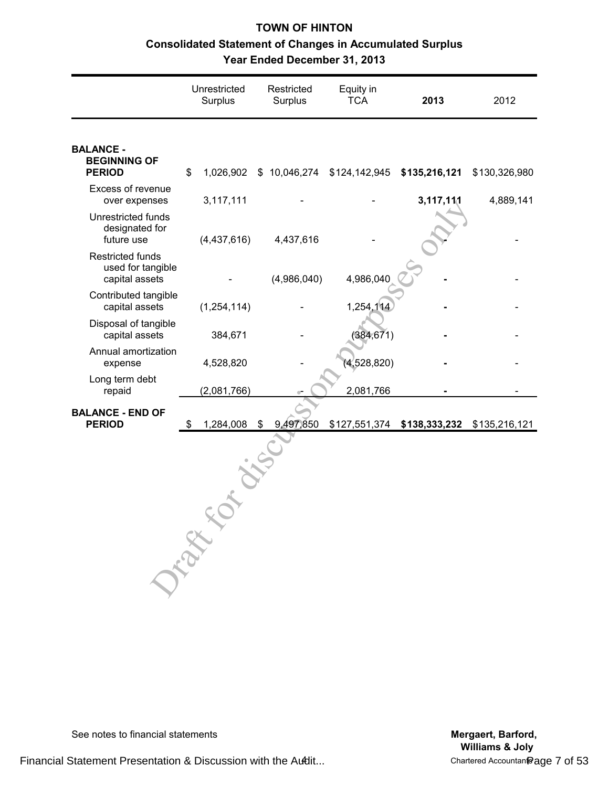# **TOWN OF HINTON Consolidated Statement of Changes in Accumulated Surplus Year Ended December 31, 2013**

|                                                                | Unrestricted<br>Surplus |               | Restricted<br>Surplus | Equity in<br><b>TCA</b>                  |             | 2013          | 2012          |
|----------------------------------------------------------------|-------------------------|---------------|-----------------------|------------------------------------------|-------------|---------------|---------------|
| <b>BALANCE -</b><br><b>BEGINNING OF</b><br><b>PERIOD</b>       | \$                      | 1,026,902     |                       | \$10,046,274 \$124,142,945 \$135,216,121 |             |               | \$130,326,980 |
| Excess of revenue<br>over expenses                             |                         | 3,117,111     |                       |                                          |             | 3,117,111     | 4,889,141     |
| Unrestricted funds<br>designated for<br>future use             |                         | (4,437,616)   | 4,437,616             |                                          |             |               |               |
| <b>Restricted funds</b><br>used for tangible<br>capital assets |                         |               | (4,986,040)           |                                          | 4,986,040   |               |               |
| Contributed tangible<br>capital assets                         |                         | (1, 254, 114) |                       |                                          | 1,254,114   |               |               |
| Disposal of tangible<br>capital assets                         |                         | 384,671       |                       |                                          | (384, 671)  |               |               |
| Annual amortization<br>expense                                 |                         | 4,528,820     |                       |                                          | (4,528,820) |               |               |
| Long term debt<br>repaid                                       |                         | (2,081,766)   |                       |                                          | 2,081,766   |               |               |
| <b>BALANCE - END OF</b><br><b>PERIOD</b>                       | \$                      | 1,284,008     | 9,497,850<br>\$       | \$127,551,374                            |             | \$138,333,232 | \$135,216,121 |
|                                                                | Drawn                   |               |                       |                                          |             |               |               |

See notes to financial statements **Mergaert, Barford, Mergaert, Barford, Mergaert**, **Barford**,

**Williams & Joly**<br>Chartered Accountan<sup>®</sup> age 7 of 53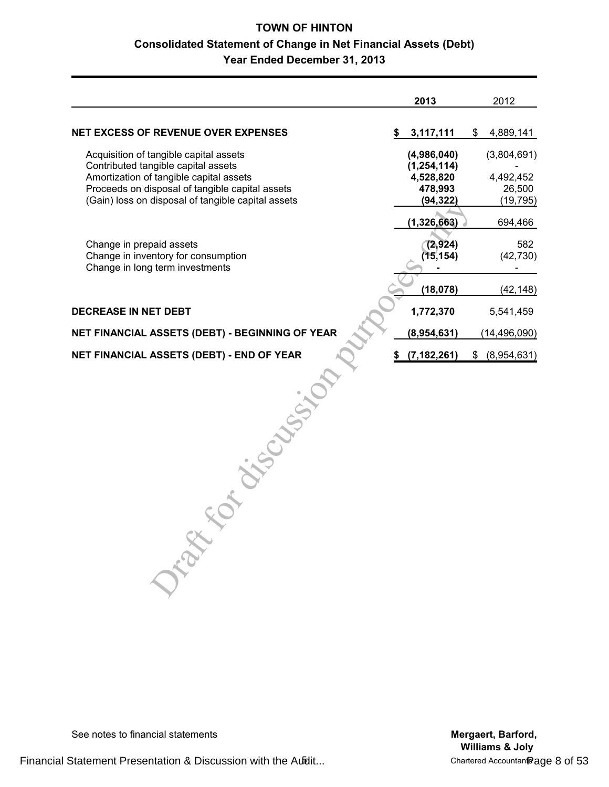# **TOWN OF HINTON Consolidated Statement of Change in Net Financial Assets (Debt) Year Ended December 31, 2013**

|                                                                               | 2013                         | 2012              |
|-------------------------------------------------------------------------------|------------------------------|-------------------|
| <b>NET EXCESS OF REVENUE OVER EXPENSES</b>                                    | \$<br>3,117,111              | \$<br>4,889,141   |
| Acquisition of tangible capital assets<br>Contributed tangible capital assets | (4,986,040)<br>(1, 254, 114) | (3,804,691)       |
| Amortization of tangible capital assets                                       | 4,528,820                    | 4,492,452         |
| Proceeds on disposal of tangible capital assets                               | 478,993                      | 26,500            |
| (Gain) loss on disposal of tangible capital assets                            | (94, 322)                    | (19, 795)         |
|                                                                               | (1, 326, 663)                | 694,466           |
| Change in prepaid assets                                                      | (2,924)                      | 582               |
| Change in inventory for consumption                                           | (15, 154)                    | (42, 730)         |
| Change in long term investments                                               |                              |                   |
|                                                                               | (18, 078)                    | (42, 148)         |
| <b>DECREASE IN NET DEBT</b>                                                   | 1,772,370                    | 5,541,459         |
| NET FINANCIAL ASSETS (DEBT) - BEGINNING OF YEAR                               | (8,954,631)                  | (14, 496, 090)    |
| NET FINANCIAL ASSETS (DEBT) - END OF YEAR                                     | (7, 182, 261)                | \$<br>(8,954,631) |
| CANY.<br>$\sim$                                                               |                              |                   |

See notes to financial statements **Mergaert, Barford, Mergaert, Barford, Mergaert**, **Barford**,

**Williams & Joly**

Financial Statement Presentation & Discussion with the Audit... The Statement Page 8 of 53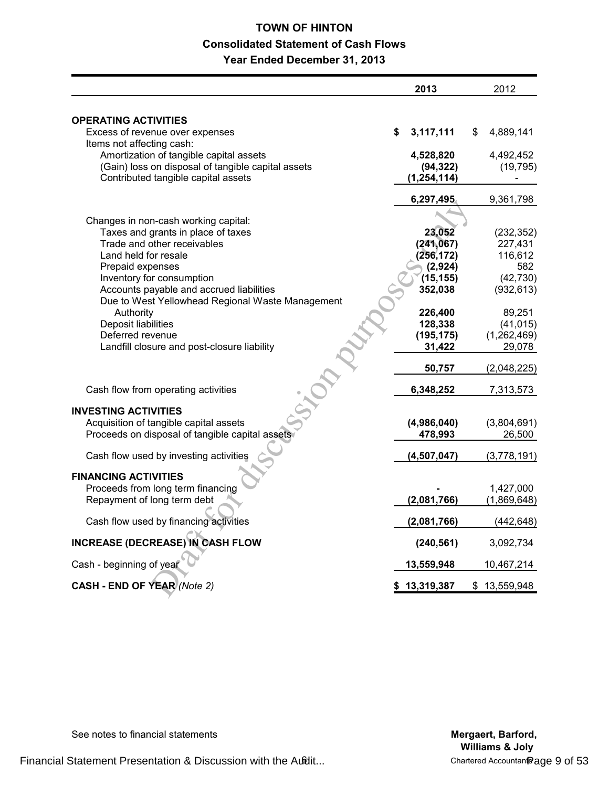# **TOWN OF HINTON Consolidated Statement of Cash Flows Year Ended December 31, 2013**

|                                                                                               | 2013                   | 2012                   |
|-----------------------------------------------------------------------------------------------|------------------------|------------------------|
| <b>OPERATING ACTIVITIES</b>                                                                   |                        |                        |
| Excess of revenue over expenses                                                               | \$<br>3,117,111        | \$<br>4,889,141        |
| Items not affecting cash:                                                                     |                        |                        |
| Amortization of tangible capital assets<br>(Gain) loss on disposal of tangible capital assets | 4,528,820<br>(94, 322) | 4,492,452<br>(19, 795) |
| Contributed tangible capital assets                                                           | (1, 254, 114)          |                        |
|                                                                                               | 6,297,495              | 9,361,798              |
| Changes in non-cash working capital:                                                          |                        |                        |
| Taxes and grants in place of taxes                                                            | 23,052                 | (232, 352)             |
| Trade and other receivables                                                                   | (241, 067)             | 227,431                |
| Land held for resale                                                                          | (256, 172)             | 116,612                |
| Prepaid expenses                                                                              | (2,924)                | 582                    |
| Inventory for consumption                                                                     | (15, 155)              | (42, 730)              |
| Accounts payable and accrued liabilities<br>Due to West Yellowhead Regional Waste Management  | 352,038                | (932, 613)             |
| Authority                                                                                     | 226,400                | 89,251                 |
| Deposit liabilities                                                                           | 128,338                | (41, 015)              |
| Deferred revenue                                                                              | (195, 175)             | (1,262,469)            |
| Landfill closure and post-closure liability                                                   | 31,422                 | 29,078                 |
|                                                                                               | 50,757                 | (2,048,225)            |
| Cash flow from operating activities                                                           | 6,348,252              | 7,313,573              |
| <b>INVESTING ACTIVITIES</b>                                                                   |                        |                        |
| Acquisition of tangible capital assets                                                        | (4,986,040)            | (3,804,691)            |
| Proceeds on disposal of tangible capital assets                                               | 478,993                | 26,500                 |
| Cash flow used by investing activities                                                        | (4,507,047)            | (3,778,191)            |
| <b>FINANCING ACTIVITIES</b>                                                                   |                        |                        |
| Proceeds from long term financing                                                             |                        | 1,427,000              |
| Repayment of long term debt                                                                   | (2,081,766)            | (1,869,648)            |
| Cash flow used by financing activities                                                        | (2,081,766)            | (442, 648)             |
| INCREASE (DECREASE) IN CASH FLOW                                                              | (240, 561)             | 3,092,734              |
| Cash - beginning of year                                                                      | 13,559,948             | 10,467,214             |
| <b>CASH - END OF YEAR (Note 2)</b>                                                            | \$13,319,387           | \$13,559,948           |

See notes to financial statements **Mergaert, Barford, Mergaert, Barford, Mergaert**, **Barford**,

**Williams & Joly**<br>Chartered Accountan Page 9 of 53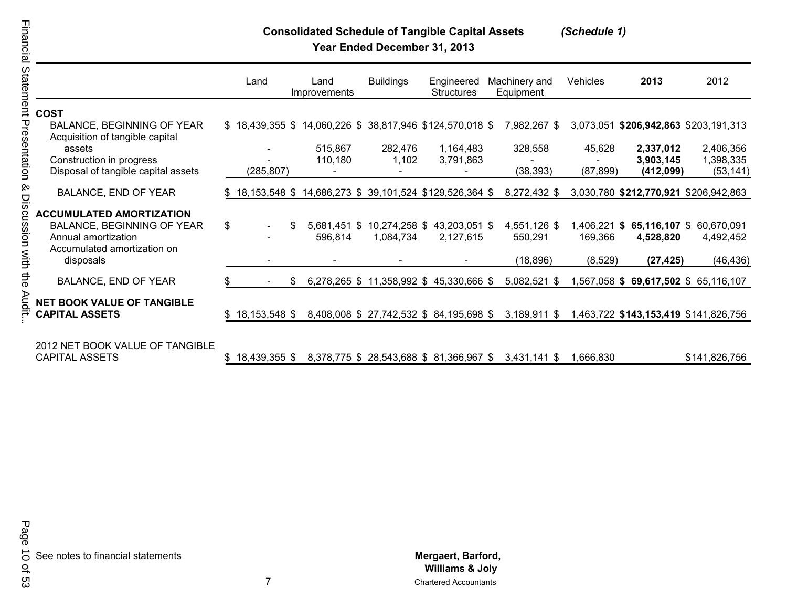# **Consolidated Schedule of Tangible Capital Assets** *(Schedule 1)*

**Year Ended December 31, 2013**

|                                                            | Land                     |    | Land<br>Improvements                                         | <b>Buildings</b> | Engineered<br><b>Structures</b>                                         | Machinery and<br>Equipment | Vehicles                | 2013                                  | 2012                                  |
|------------------------------------------------------------|--------------------------|----|--------------------------------------------------------------|------------------|-------------------------------------------------------------------------|----------------------------|-------------------------|---------------------------------------|---------------------------------------|
| <b>COST</b>                                                |                          |    |                                                              |                  |                                                                         |                            |                         |                                       |                                       |
| BALANCE, BEGINNING OF YEAR                                 |                          |    | $$18,439,355$ $$14,060,226$ $$38,817,946$ $$124,570,018$ $$$ |                  |                                                                         | 7,982,267 \$               |                         | 3,073,051 \$206,942,863 \$203,191,313 |                                       |
| Acquisition of tangible capital<br>assets                  |                          |    | 515,867                                                      | 282,476          | 1,164,483                                                               | 328,558                    | 45,628                  | 2,337,012                             | 2,406,356                             |
| Construction in progress                                   |                          |    | 110,180                                                      | 1,102            | 3,791,863                                                               |                            |                         | 3,903,145                             | 1,398,335                             |
| Disposal of tangible capital assets                        | (285,807)                |    |                                                              |                  |                                                                         | (38, 393)                  | (87, 899)               | (412,099)                             | (53, 141)                             |
| <b>BALANCE, END OF YEAR</b>                                |                          |    | \$18,153,548 \$14,686,273 \$39,101,524 \$129,526,364 \$      |                  |                                                                         | 8,272,432 \$               |                         | 3,030,780 \$212,770,921 \$206,942,863 |                                       |
| <b>ACCUMULATED AMORTIZATION</b>                            |                          |    |                                                              |                  |                                                                         |                            |                         |                                       |                                       |
| BALANCE, BEGINNING OF YEAR<br>Annual amortization          | \$<br>$\blacksquare$     | S  | 5,681,451 \$<br>596,814                                      | 1,084,734        | 10,274,258 \$43,203,051 \$<br>2,127,615                                 | 4,551,126 \$<br>550,291    | 1,406,221 \$<br>169,366 | 4,528,820                             | 65,116,107 \$ 60,670,091<br>4,492,452 |
| Accumulated amortization on<br>disposals                   |                          |    |                                                              |                  |                                                                         | (18, 896)                  | (8,529)                 | (27, 425)                             | (46, 436)                             |
| <b>BALANCE, END OF YEAR</b>                                | $\overline{\phantom{a}}$ | S. |                                                              |                  | 6,278,265 \$ 11,358,992 \$ 45,330,666 \$                                | 5,082,521 \$               |                         | 1,567,058 \$ 69,617,502 \$ 65,116,107 |                                       |
| <b>NET BOOK VALUE OF TANGIBLE</b><br><b>CAPITAL ASSETS</b> | $$18,153,548$ \$         |    |                                                              |                  | 8,408,008 \$ 27,742,532 \$ 84,195,698 \$                                | $3,189,911$ \$             |                         |                                       | 1,463,722 \$143,153,419 \$141,826,756 |
|                                                            |                          |    |                                                              |                  |                                                                         |                            |                         |                                       |                                       |
| 2012 NET BOOK VALUE OF TANGIBLE<br>CADITAL ACCETC          | <b>ጦ 40 490 9 E E ጦ</b>  |    |                                                              |                  | $0.270.77E$ $\uparrow$ 00 $EAO$ COO $\uparrow$ 04 2 CC 0 C 7 $\uparrow$ | <b>0 ADA AAA O</b>         | 1000,000                |                                       | 0.1110007750                          |

CAPITAL ASSETS \$ 18,439,355 \$ 8,378,775 \$ 28,543,688 \$ 81,366,967 \$ 3,431,141 \$ 1,666,830 \$141,826,756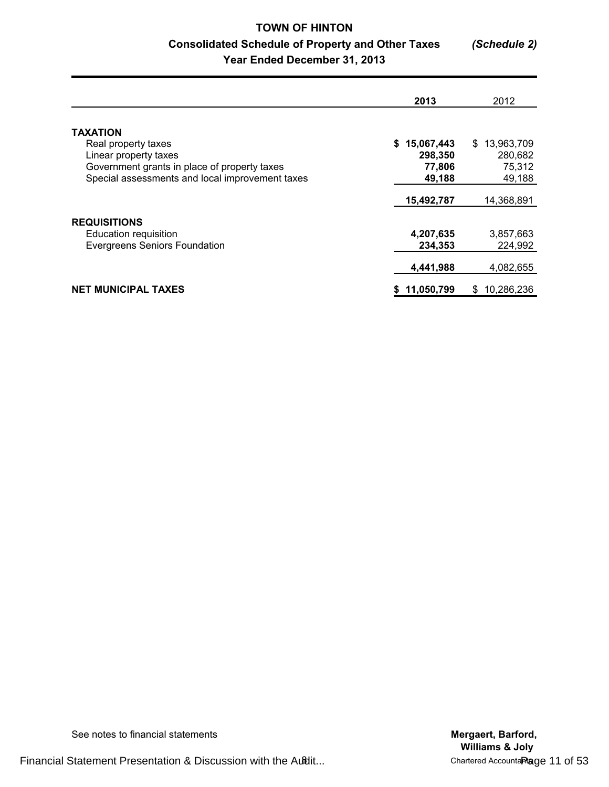# **TOWN OF HINTON Consolidated Schedule of Property and Other Taxes** *(Schedule 2)* **Year Ended December 31, 2013**

|                                                 | 2013                        | 2012                         |
|-------------------------------------------------|-----------------------------|------------------------------|
| <b>TAXATION</b>                                 |                             |                              |
| Real property taxes<br>Linear property taxes    | 15,067,443<br>S.<br>298,350 | 13,963,709<br>\$.<br>280,682 |
| Government grants in place of property taxes    | 77,806                      | 75,312                       |
| Special assessments and local improvement taxes | 49,188                      | 49,188                       |
|                                                 | 15,492,787                  | 14,368,891                   |
| <b>REQUISITIONS</b>                             |                             |                              |
| <b>Education requisition</b>                    | 4,207,635                   | 3,857,663                    |
| <b>Evergreens Seniors Foundation</b>            | 234,353                     | 224,992                      |
|                                                 | 4,441,988                   | 4,082,655                    |
| <b>NET MUNICIPAL TAXES</b>                      | \$11,050,799                | 10,286,236<br>S              |

See notes to financial statements **Mergaert, Barford, Mergaert, Barford,** 

Financial Statement Presentation & Discussion with the Audit...

**Williams & Joly**<br>Chartered AccountaRage 11 of 53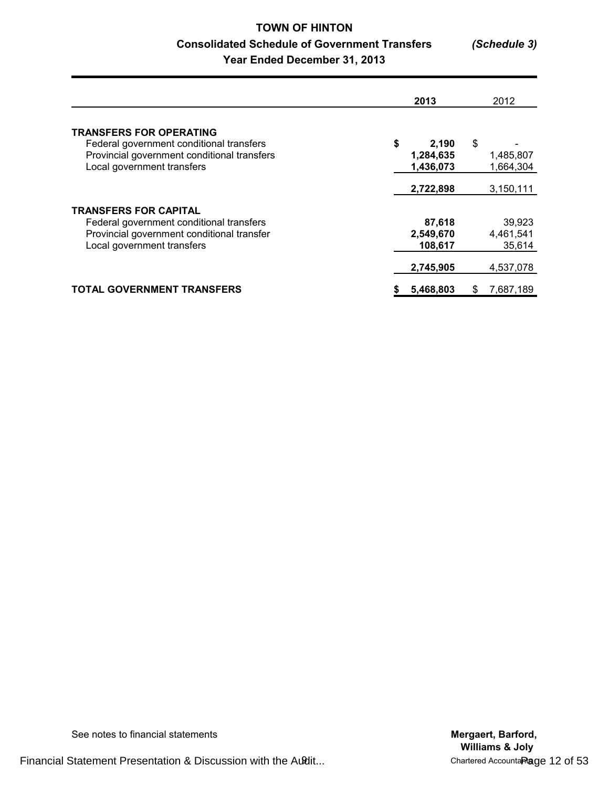# **TOWN OF HINTON Consolidated Schedule of Government Transfers** *(Schedule 3)* **Year Ended December 31, 2013**

|                                                                                                                                                         | 2013                                  | 2012                          |
|---------------------------------------------------------------------------------------------------------------------------------------------------------|---------------------------------------|-------------------------------|
| <b>TRANSFERS FOR OPERATING</b><br>Federal government conditional transfers<br>Provincial government conditional transfers<br>Local government transfers | \$<br>2.190<br>1,284,635<br>1,436,073 | \$<br>1,485,807<br>1,664,304  |
|                                                                                                                                                         | 2,722,898                             | 3,150,111                     |
| <b>TRANSFERS FOR CAPITAL</b><br>Federal government conditional transfers<br>Provincial government conditional transfer<br>Local government transfers    | 87,618<br>2,549,670<br>108,617        | 39,923<br>4,461,541<br>35,614 |
|                                                                                                                                                         | 2,745,905                             | 4,537,078                     |
| <b>TOTAL GOVERNMENT TRANSFERS</b>                                                                                                                       | 5,468,803                             | 7,687,189<br>S                |

See notes to financial statements **Mergaert, Barford, Mergaert, Barford, Mergaert**, **Barford**,

Financial Statement Presentation & Discussion with the Audit...

**Williams & Joly**<br>Chartered Accounta<sub>Rage</sub> 12 of 53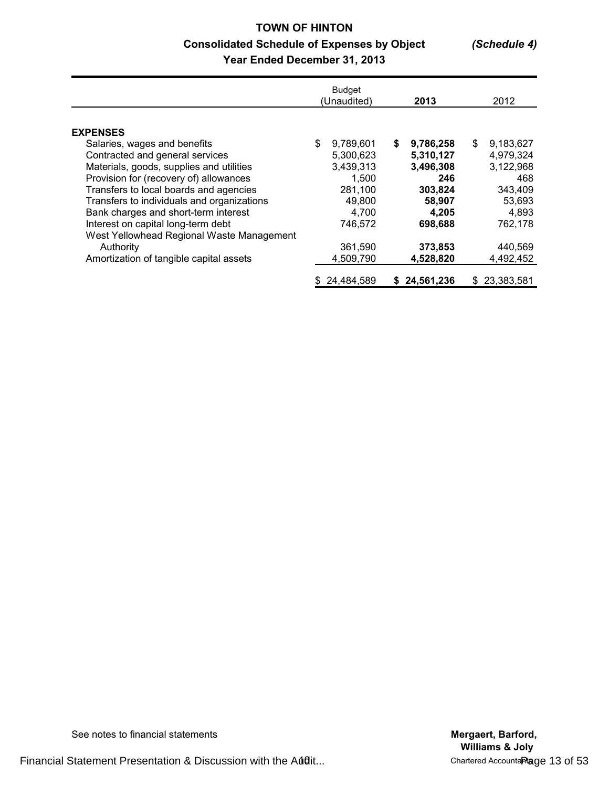# **TOWN OF HINTON Consolidated Schedule of Expenses by Object** *(Schedule 4)* **Year Ended December 31, 2013**

|                                                                                                                                                                                                                                                                                                                                                                                                          |    | <b>Budget</b><br>(Unaudited)                                                                     |   | 2013                                                                                           |    | 2012                                                                                           |
|----------------------------------------------------------------------------------------------------------------------------------------------------------------------------------------------------------------------------------------------------------------------------------------------------------------------------------------------------------------------------------------------------------|----|--------------------------------------------------------------------------------------------------|---|------------------------------------------------------------------------------------------------|----|------------------------------------------------------------------------------------------------|
| <b>EXPENSES</b><br>Salaries, wages and benefits<br>Contracted and general services<br>Materials, goods, supplies and utilities<br>Provision for (recovery of) allowances<br>Transfers to local boards and agencies<br>Transfers to individuals and organizations<br>Bank charges and short-term interest<br>Interest on capital long-term debt<br>West Yellowhead Regional Waste Management<br>Authority | \$ | 9,789,601<br>5,300,623<br>3,439,313<br>1,500<br>281,100<br>49,800<br>4,700<br>746,572<br>361,590 | S | 9,786,258<br>5,310,127<br>3,496,308<br>246<br>303,824<br>58,907<br>4.205<br>698,688<br>373,853 | \$ | 9,183,627<br>4,979,324<br>3,122,968<br>468<br>343,409<br>53,693<br>4,893<br>762,178<br>440,569 |
| Amortization of tangible capital assets                                                                                                                                                                                                                                                                                                                                                                  |    | 4,509,790                                                                                        |   | 4,528,820                                                                                      |    | 4,492,452                                                                                      |
|                                                                                                                                                                                                                                                                                                                                                                                                          | S  | 24,484,589                                                                                       |   | 24,561,236                                                                                     | S. | 23,383,581                                                                                     |

See notes to financial statements **Mergaert, Barford, Mergaert, Barford, Mergaert**, **Barford**,

Financial Statement Presentation & Discussion with the Audit... The Chartered Accountant Page 13 of 53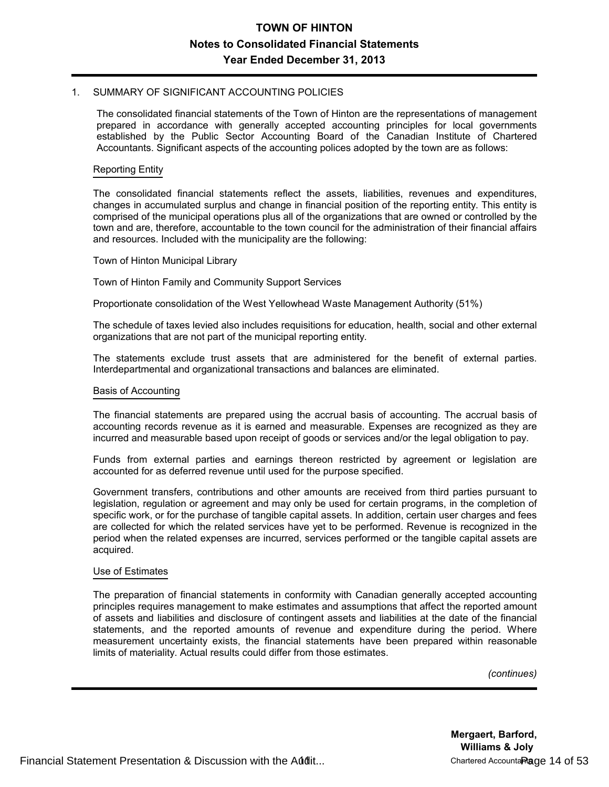#### 1. SUMMARY OF SIGNIFICANT ACCOUNTING POLICIES

The consolidated financial statements of the Town of Hinton are the representations of management prepared in accordance with generally accepted accounting principles for local governments established by the Public Sector Accounting Board of the Canadian Institute of Chartered Accountants. Significant aspects of the accounting polices adopted by the town are as follows:

#### Reporting Entity

The consolidated financial statements reflect the assets, liabilities, revenues and expenditures, changes in accumulated surplus and change in financial position of the reporting entity. This entity is comprised of the municipal operations plus all of the organizations that are owned or controlled by the town and are, therefore, accountable to the town council for the administration of their financial affairs and resources. Included with the municipality are the following:

#### Town of Hinton Municipal Library

Town of Hinton Family and Community Support Services

Proportionate consolidation of the West Yellowhead Waste Management Authority (51%)

The schedule of taxes levied also includes requisitions for education, health, social and other external organizations that are not part of the municipal reporting entity.

The statements exclude trust assets that are administered for the benefit of external parties. Interdepartmental and organizational transactions and balances are eliminated.

#### Basis of Accounting

The financial statements are prepared using the accrual basis of accounting. The accrual basis of accounting records revenue as it is earned and measurable. Expenses are recognized as they are incurred and measurable based upon receipt of goods or services and/or the legal obligation to pay.

Funds from external parties and earnings thereon restricted by agreement or legislation are accounted for as deferred revenue until used for the purpose specified.

Government transfers, contributions and other amounts are received from third parties pursuant to legislation, regulation or agreement and may only be used for certain programs, in the completion of specific work, or for the purchase of tangible capital assets. In addition, certain user charges and fees are collected for which the related services have yet to be performed. Revenue is recognized in the period when the related expenses are incurred, services performed or the tangible capital assets are acquired.

#### Use of Estimates

The preparation of financial statements in conformity with Canadian generally accepted accounting principles requires management to make estimates and assumptions that affect the reported amount of assets and liabilities and disclosure of contingent assets and liabilities at the date of the financial statements, and the reported amounts of revenue and expenditure during the period. Where measurement uncertainty exists, the financial statements have been prepared within reasonable limits of materiality. Actual results could differ from those estimates.

*(continues)*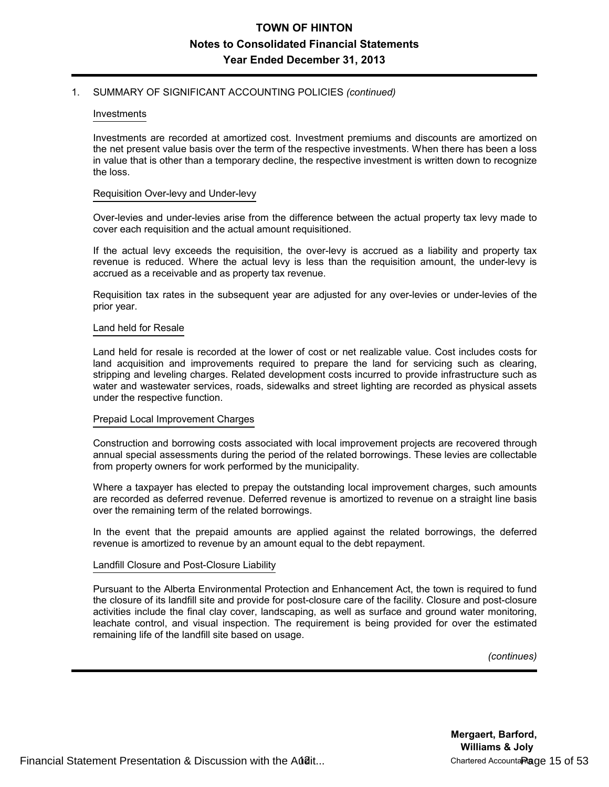### 1. SUMMARY OF SIGNIFICANT ACCOUNTING POLICIES *(continued)*

#### Investments

Investments are recorded at amortized cost. Investment premiums and discounts are amortized on the net present value basis over the term of the respective investments. When there has been a loss in value that is other than a temporary decline, the respective investment is written down to recognize the loss.

#### Requisition Over-levy and Under-levy

Over-levies and under-levies arise from the difference between the actual property tax levy made to cover each requisition and the actual amount requisitioned.

If the actual levy exceeds the requisition, the over-levy is accrued as a liability and property tax revenue is reduced. Where the actual levy is less than the requisition amount, the under-levy is accrued as a receivable and as property tax revenue.

Requisition tax rates in the subsequent year are adjusted for any over-levies or under-levies of the prior year.

#### Land held for Resale

Land held for resale is recorded at the lower of cost or net realizable value. Cost includes costs for land acquisition and improvements required to prepare the land for servicing such as clearing, stripping and leveling charges. Related development costs incurred to provide infrastructure such as water and wastewater services, roads, sidewalks and street lighting are recorded as physical assets under the respective function.

### Prepaid Local Improvement Charges

Construction and borrowing costs associated with local improvement projects are recovered through annual special assessments during the period of the related borrowings. These levies are collectable from property owners for work performed by the municipality.

Where a taxpayer has elected to prepay the outstanding local improvement charges, such amounts are recorded as deferred revenue. Deferred revenue is amortized to revenue on a straight line basis over the remaining term of the related borrowings.

In the event that the prepaid amounts are applied against the related borrowings, the deferred revenue is amortized to revenue by an amount equal to the debt repayment.

### Landfill Closure and Post-Closure Liability

Pursuant to the Alberta Environmental Protection and Enhancement Act, the town is required to fund the closure of its landfill site and provide for post-closure care of the facility. Closure and post-closure activities include the final clay cover, landscaping, as well as surface and ground water monitoring, leachate control, and visual inspection. The requirement is being provided for over the estimated remaining life of the landfill site based on usage.

*(continues)*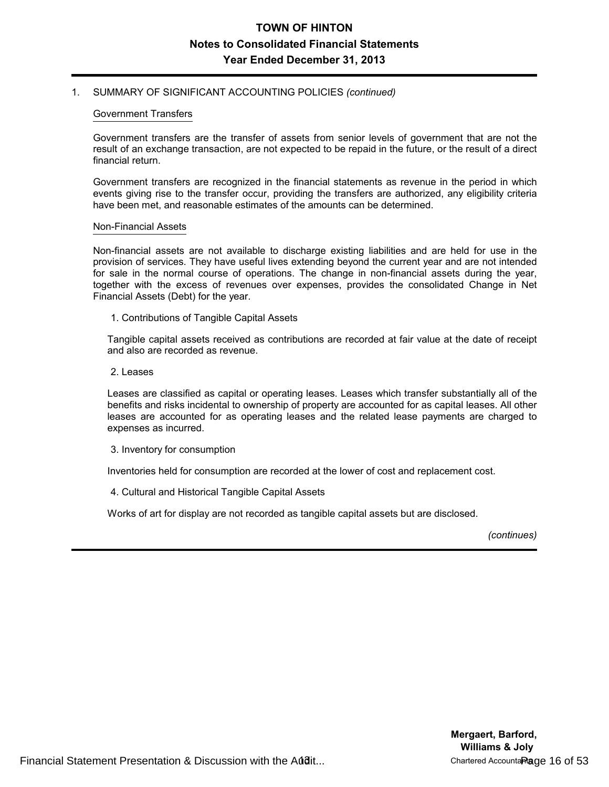### 1. SUMMARY OF SIGNIFICANT ACCOUNTING POLICIES *(continued)*

#### Government Transfers

Government transfers are the transfer of assets from senior levels of government that are not the result of an exchange transaction, are not expected to be repaid in the future, or the result of a direct financial return.

Government transfers are recognized in the financial statements as revenue in the period in which events giving rise to the transfer occur, providing the transfers are authorized, any eligibility criteria have been met, and reasonable estimates of the amounts can be determined.

#### Non-Financial Assets

Non-financial assets are not available to discharge existing liabilities and are held for use in the provision of services. They have useful lives extending beyond the current year and are not intended for sale in the normal course of operations. The change in non-financial assets during the year, together with the excess of revenues over expenses, provides the consolidated Change in Net Financial Assets (Debt) for the year.

1. Contributions of Tangible Capital Assets

Tangible capital assets received as contributions are recorded at fair value at the date of receipt and also are recorded as revenue.

2. Leases

Leases are classified as capital or operating leases. Leases which transfer substantially all of the benefits and risks incidental to ownership of property are accounted for as capital leases. All other leases are accounted for as operating leases and the related lease payments are charged to expenses as incurred.

3. Inventory for consumption

Inventories held for consumption are recorded at the lower of cost and replacement cost.

4. Cultural and Historical Tangible Capital Assets

Works of art for display are not recorded as tangible capital assets but are disclosed.

*(continues)*

Financial Statement Presentation & Discussion with the Audit... The Chartered Accountants Page 16 of 53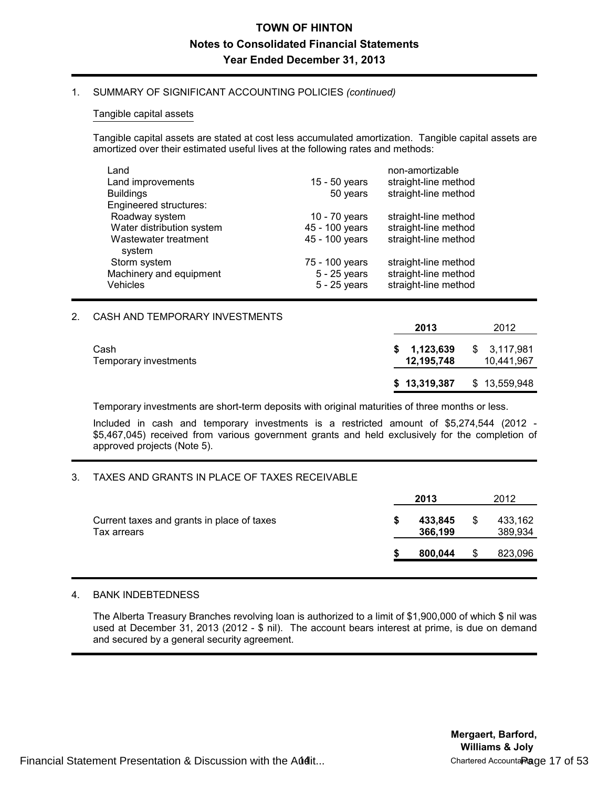### 1. SUMMARY OF SIGNIFICANT ACCOUNTING POLICIES *(continued)*

### Tangible capital assets

Tangible capital assets are stated at cost less accumulated amortization. Tangible capital assets are amortized over their estimated useful lives at the following rates and methods:

| Land                           |                | non-amortizable      |
|--------------------------------|----------------|----------------------|
| Land improvements              | 15 - 50 years  | straight-line method |
| <b>Buildings</b>               | 50 years       | straight-line method |
| Engineered structures:         |                |                      |
| Roadway system                 | 10 - 70 years  | straight-line method |
| Water distribution system      | 45 - 100 years | straight-line method |
| Wastewater treatment<br>system | 45 - 100 years | straight-line method |
| Storm system                   | 75 - 100 years | straight-line method |
| Machinery and equipment        | 5 - 25 years   | straight-line method |
| <b>Vehicles</b>                | $5 - 25$ years | straight-line method |

## 2. CASH AND TEMPORARY INVESTMENTS

|                               | 2013                      | 2012                      |
|-------------------------------|---------------------------|---------------------------|
| Cash<br>Temporary investments | \$1,123,639<br>12,195,748 | \$3,117,981<br>10,441,967 |
|                               | \$13,319,387              | \$13,559,948              |

Temporary investments are short-term deposits with original maturities of three months or less.

Included in cash and temporary investments is a restricted amount of \$5,274,544 (2012 - \$5,467,045) received from various government grants and held exclusively for the completion of approved projects (Note 5).

### 3. TAXES AND GRANTS IN PLACE OF TAXES RECEIVABLE

|                                                           | 2013               | 2012               |
|-----------------------------------------------------------|--------------------|--------------------|
| Current taxes and grants in place of taxes<br>Tax arrears | 433,845<br>366,199 | 433,162<br>389,934 |
|                                                           | 800.044            | 823,096            |

### 4. BANK INDEBTEDNESS

The Alberta Treasury Branches revolving loan is authorized to a limit of \$1,900,000 of which \$ nil was used at December 31, 2013 (2012 - \$ nil). The account bears interest at prime, is due on demand and secured by a general security agreement.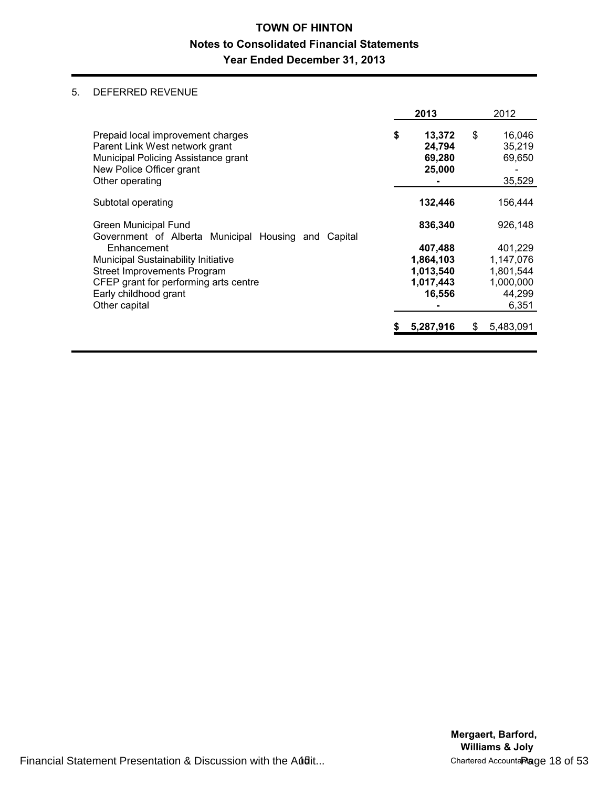## 5. DEFERRED REVENUE

|                                                                                                                                                                             | 2013                                                     |    | 2012                                                              |
|-----------------------------------------------------------------------------------------------------------------------------------------------------------------------------|----------------------------------------------------------|----|-------------------------------------------------------------------|
| Prepaid local improvement charges<br>Parent Link West network grant<br>Municipal Policing Assistance grant<br>New Police Officer grant<br>Other operating                   | \$<br>13,372<br>24,794<br>69,280<br>25,000               | \$ | 16,046<br>35,219<br>69,650<br>35,529                              |
| Subtotal operating                                                                                                                                                          | 132,446                                                  |    | 156,444                                                           |
| <b>Green Municipal Fund</b><br>Government of Alberta Municipal Housing and Capital                                                                                          | 836,340                                                  |    | 926,148                                                           |
| Enhancement<br>Municipal Sustainability Initiative<br><b>Street Improvements Program</b><br>CFEP grant for performing arts centre<br>Early childhood grant<br>Other capital | 407,488<br>1,864,103<br>1,013,540<br>1,017,443<br>16,556 |    | 401,229<br>1,147,076<br>1,801,544<br>1,000,000<br>44,299<br>6,351 |
|                                                                                                                                                                             | 5,287,916                                                | S  | 5,483,091                                                         |

Financial Statement Presentation & Discussion with the Audit... The Chartered Accountant Page 18 of 53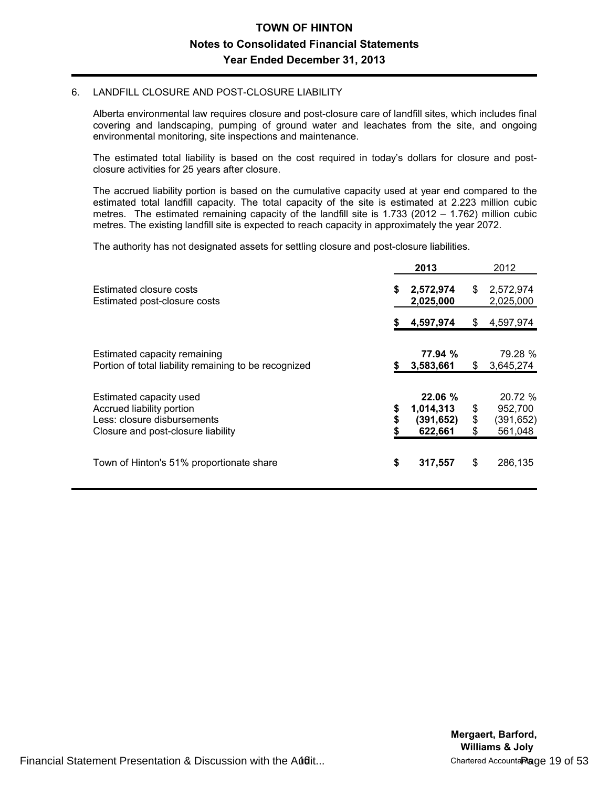### 6. LANDFILL CLOSURE AND POST-CLOSURE LIABILITY

Alberta environmental law requires closure and post-closure care of landfill sites, which includes final covering and landscaping, pumping of ground water and leachates from the site, and ongoing environmental monitoring, site inspections and maintenance.

The estimated total liability is based on the cost required in today's dollars for closure and postclosure activities for 25 years after closure.

The accrued liability portion is based on the cumulative capacity used at year end compared to the estimated total landfill capacity. The total capacity of the site is estimated at 2.223 million cubic metres. The estimated remaining capacity of the landfill site is 1.733 (2012 – 1.762) million cubic metres. The existing landfill site is expected to reach capacity in approximately the year 2072.

The authority has not designated assets for settling closure and post-closure liabilities.

|                                                                                                                           |          | 2013                                         |                | 2012                                       |
|---------------------------------------------------------------------------------------------------------------------------|----------|----------------------------------------------|----------------|--------------------------------------------|
| Estimated closure costs<br>Estimated post-closure costs                                                                   | \$       | 2,572,974<br>2,025,000                       | \$             | 2,572,974<br>2,025,000                     |
|                                                                                                                           | S        | 4,597,974                                    | S              | 4,597,974                                  |
| Estimated capacity remaining<br>Portion of total liability remaining to be recognized                                     |          | 77.94 %<br>3,583,661                         | \$             | 79.28 %<br>3,645,274                       |
| Estimated capacity used<br>Accrued liability portion<br>Less: closure disbursements<br>Closure and post-closure liability | \$<br>\$ | 22.06%<br>1,014,313<br>(391, 652)<br>622,661 | \$<br>\$<br>\$ | 20.72 %<br>952,700<br>(391,652)<br>561,048 |
| Town of Hinton's 51% proportionate share                                                                                  | \$       | 317,557                                      | \$             | 286,135                                    |

Financial Statement Presentation & Discussion with the Audit... The Chartered Accountant Page 19 of 53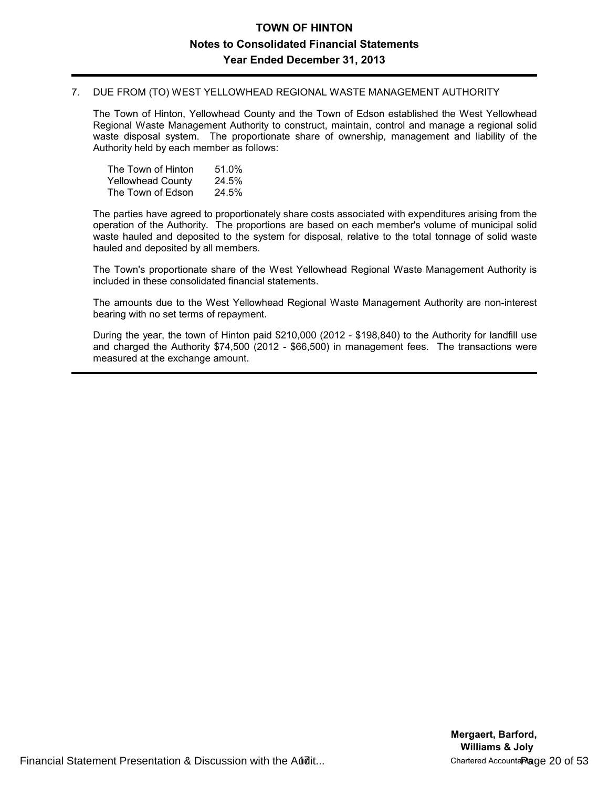## 7. DUE FROM (TO) WEST YELLOWHEAD REGIONAL WASTE MANAGEMENT AUTHORITY

The Town of Hinton, Yellowhead County and the Town of Edson established the West Yellowhead Regional Waste Management Authority to construct, maintain, control and manage a regional solid waste disposal system. The proportionate share of ownership, management and liability of the Authority held by each member as follows:

| The Town of Hinton       | 51.0% |
|--------------------------|-------|
| <b>Yellowhead County</b> | 24.5% |
| The Town of Edson        | 24.5% |

The parties have agreed to proportionately share costs associated with expenditures arising from the operation of the Authority. The proportions are based on each member's volume of municipal solid waste hauled and deposited to the system for disposal, relative to the total tonnage of solid waste hauled and deposited by all members.

The Town's proportionate share of the West Yellowhead Regional Waste Management Authority is included in these consolidated financial statements.

The amounts due to the West Yellowhead Regional Waste Management Authority are non-interest bearing with no set terms of repayment.

During the year, the town of Hinton paid \$210,000 (2012 - \$198,840) to the Authority for landfill use and charged the Authority \$74,500 (2012 - \$66,500) in management fees. The transactions were measured at the exchange amount.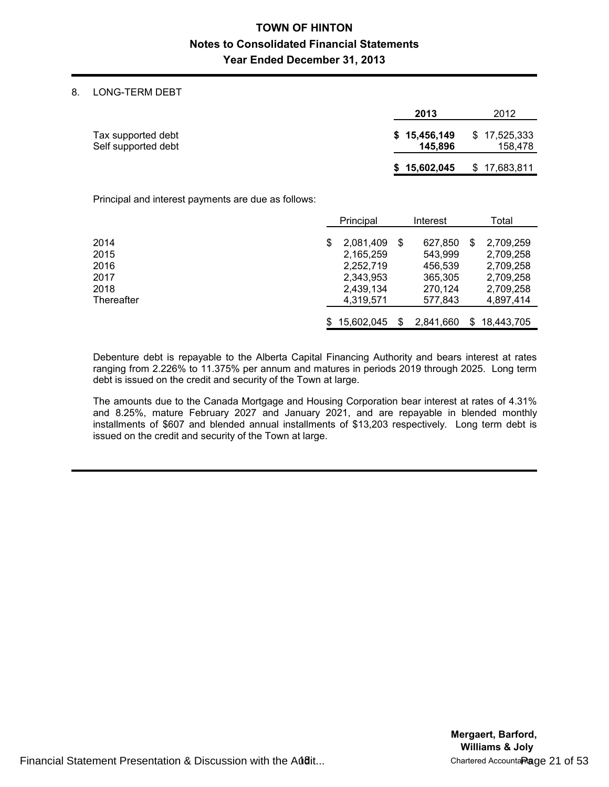## 8. LONG-TERM DEBT

|                                           | 2013                    | 2012                    |
|-------------------------------------------|-------------------------|-------------------------|
| Tax supported debt<br>Self supported debt | \$15,456,149<br>145.896 | \$17,525,333<br>158,478 |
|                                           | \$15,602,045            | \$17,683,811            |

Principal and interest payments are due as follows:

|            | Principal    |   | Interest  |    | Total      |
|------------|--------------|---|-----------|----|------------|
|            |              |   |           |    |            |
| 2014       | 2.081.409    | S | 627,850   | S  | 2.709.259  |
| 2015       | 2,165,259    |   | 543,999   |    | 2,709,258  |
| 2016       | 2,252,719    |   | 456,539   |    | 2,709,258  |
| 2017       | 2,343,953    |   | 365,305   |    | 2,709,258  |
| 2018       | 2,439,134    |   | 270,124   |    | 2,709,258  |
| Thereafter | 4.319.571    |   | 577.843   |    | 4,897,414  |
|            |              |   |           |    |            |
|            | \$15,602,045 | S | 2,841,660 | S. | 18.443.705 |

Debenture debt is repayable to the Alberta Capital Financing Authority and bears interest at rates ranging from 2.226% to 11.375% per annum and matures in periods 2019 through 2025. Long term debt is issued on the credit and security of the Town at large.

The amounts due to the Canada Mortgage and Housing Corporation bear interest at rates of 4.31% and 8.25%, mature February 2027 and January 2021, and are repayable in blended monthly installments of \$607 and blended annual installments of \$13,203 respectively. Long term debt is issued on the credit and security of the Town at large.

Financial Statement Presentation & Discussion with the Audit... The Chartered Accountant Page 21 of 53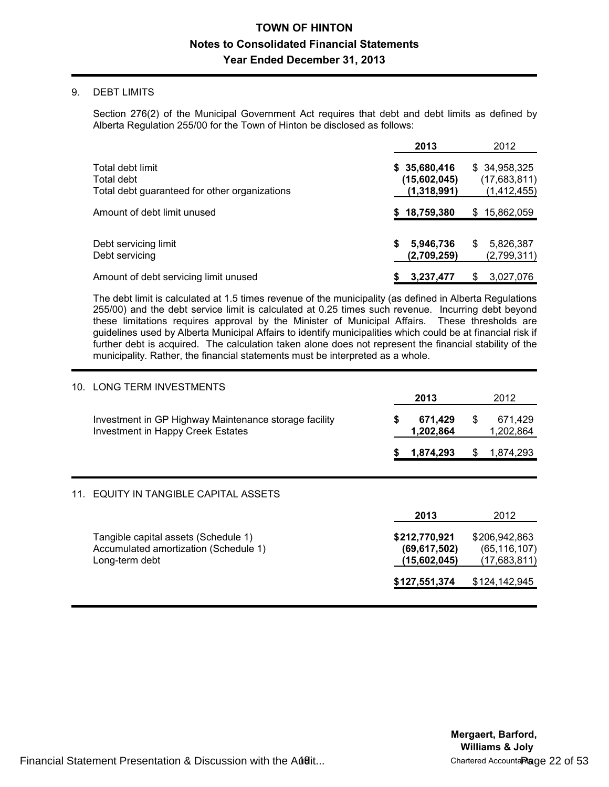### 9. DEBT LIMITS

Section 276(2) of the Municipal Government Act requires that debt and debt limits as defined by Alberta Regulation 255/00 for the Town of Hinton be disclosed as follows:

|                                                                                 | 2013                                        | 2012                                        |
|---------------------------------------------------------------------------------|---------------------------------------------|---------------------------------------------|
| Total debt limit<br>Total debt<br>Total debt guaranteed for other organizations | \$35,680,416<br>(15,602,045)<br>(1,318,991) | \$34,958,325<br>(17,683,811)<br>(1,412,455) |
| Amount of debt limit unused                                                     | 18,759,380                                  | 15,862,059<br>S                             |
| Debt servicing limit<br>Debt servicing                                          | 5,946,736<br>S<br>(2,709,259)               | 5,826,387<br>S<br>(2,799,311)               |
| Amount of debt servicing limit unused                                           | 3,237,477                                   | 3,027,076<br>S                              |

The debt limit is calculated at 1.5 times revenue of the municipality (as defined in Alberta Regulations 255/00) and the debt service limit is calculated at 0.25 times such revenue. Incurring debt beyond these limitations requires approval by the Minister of Municipal Affairs. These thresholds are guidelines used by Alberta Municipal Affairs to identify municipalities which could be at financial risk if further debt is acquired. The calculation taken alone does not represent the financial stability of the municipality. Rather, the financial statements must be interpreted as a whole.

| 10. | <b>LONG TERM INVESTMENTS</b>                                                                      | 2013                                            |    | 2012                                            |
|-----|---------------------------------------------------------------------------------------------------|-------------------------------------------------|----|-------------------------------------------------|
|     | Investment in GP Highway Maintenance storage facility<br><b>Investment in Happy Creek Estates</b> | \$<br>671,429<br>1,202,864                      | \$ | 671,429<br>1,202,864                            |
|     |                                                                                                   | 1,874,293                                       | S  | 1,874,293                                       |
| 11. | EQUITY IN TANGIBLE CAPITAL ASSETS                                                                 | 2013                                            |    | 2012                                            |
|     | Tangible capital assets (Schedule 1)<br>Accumulated amortization (Schedule 1)<br>Long-term debt   | \$212,770,921<br>(69, 617, 502)<br>(15,602,045) |    | \$206,942,863<br>(65, 116, 107)<br>(17,683,811) |
|     |                                                                                                   | \$127,551,374                                   |    | \$124,142,945                                   |

Financial Statement Presentation & Discussion with the Audit... The Chartered Accountant Page 22 of 53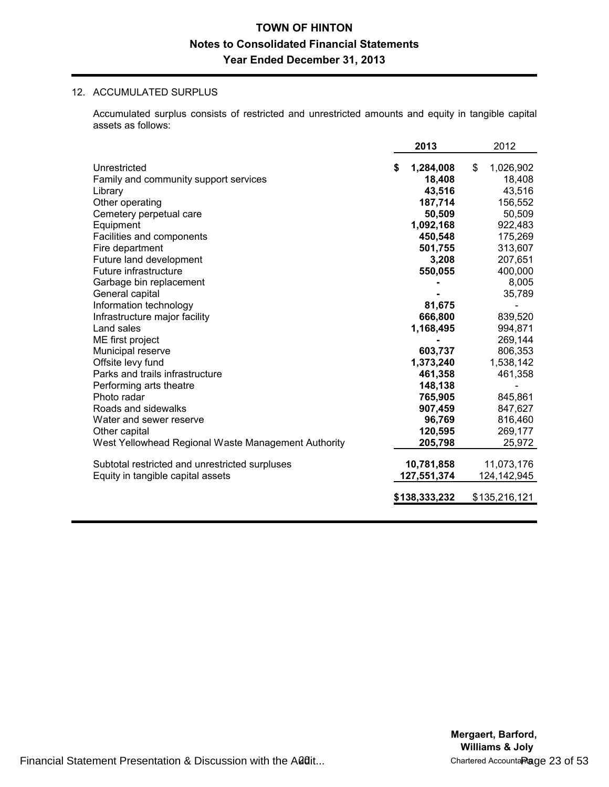## 12. ACCUMULATED SURPLUS

Accumulated surplus consists of restricted and unrestricted amounts and equity in tangible capital assets as follows:

|                                                     |   | 2013          | 2012            |
|-----------------------------------------------------|---|---------------|-----------------|
| Unrestricted                                        | S | 1,284,008     | \$<br>1,026,902 |
| Family and community support services               |   | 18,408        | 18,408          |
| Library                                             |   | 43,516        | 43,516          |
| Other operating                                     |   | 187,714       | 156,552         |
| Cemetery perpetual care                             |   | 50,509        | 50,509          |
| Equipment                                           |   | 1,092,168     | 922,483         |
| Facilities and components                           |   | 450,548       | 175,269         |
| Fire department                                     |   | 501,755       | 313,607         |
| Future land development                             |   | 3,208         | 207,651         |
| Future infrastructure                               |   | 550,055       | 400,000         |
| Garbage bin replacement                             |   |               | 8,005           |
| General capital                                     |   |               | 35,789          |
| Information technology                              |   | 81,675        |                 |
| Infrastructure major facility                       |   | 666,800       | 839,520         |
| Land sales                                          |   | 1,168,495     | 994,871         |
| ME first project                                    |   |               | 269,144         |
| Municipal reserve                                   |   | 603,737       | 806,353         |
| Offsite levy fund                                   |   | 1,373,240     | 1,538,142       |
| Parks and trails infrastructure                     |   | 461,358       | 461,358         |
| Performing arts theatre                             |   | 148,138       |                 |
| Photo radar                                         |   | 765,905       | 845,861         |
| Roads and sidewalks                                 |   | 907,459       | 847,627         |
| Water and sewer reserve                             |   | 96,769        | 816,460         |
| Other capital                                       |   | 120,595       | 269,177         |
| West Yellowhead Regional Waste Management Authority |   | 205,798       | 25,972          |
| Subtotal restricted and unrestricted surpluses      |   | 10,781,858    | 11,073,176      |
| Equity in tangible capital assets                   |   | 127,551,374   | 124,142,945     |
|                                                     |   | \$138,333,232 | \$135,216,121   |
|                                                     |   |               |                 |

Financial Statement Presentation & Discussion with the Audit... 20 Chartered Accountants Page 23 of 53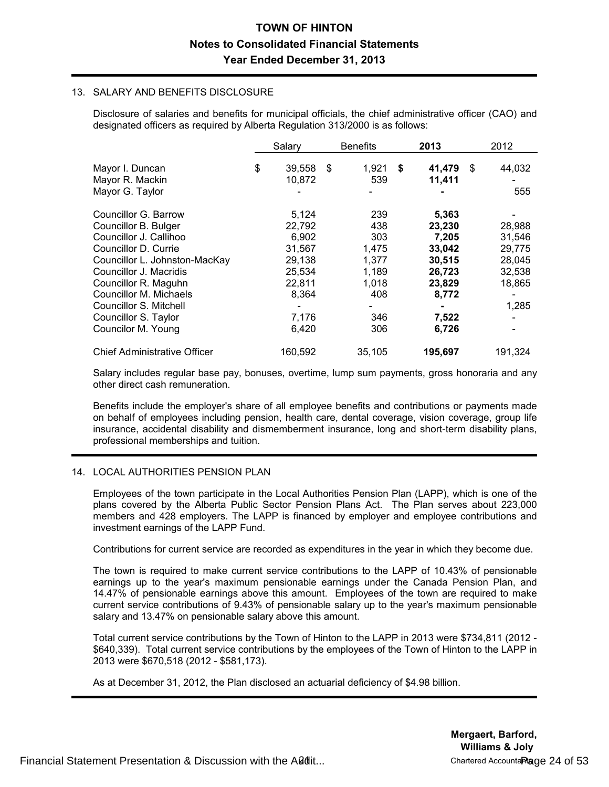### 13. SALARY AND BENEFITS DISCLOSURE

Disclosure of salaries and benefits for municipal officials, the chief administrative officer (CAO) and designated officers as required by Alberta Regulation 313/2000 is as follows:

|                                     | Salary       |     | <b>Benefits</b> | 2013         | 2012    |
|-------------------------------------|--------------|-----|-----------------|--------------|---------|
|                                     |              |     |                 |              | \$      |
| Mayor I. Duncan                     | \$<br>39,558 | -\$ | 1,921           | \$<br>41,479 | 44,032  |
| Mayor R. Mackin                     | 10,872       |     | 539             | 11,411       |         |
| Mayor G. Taylor                     |              |     |                 |              | 555     |
| Councillor G. Barrow                | 5,124        |     | 239             | 5,363        |         |
| Councillor B. Bulger                | 22,792       |     | 438             | 23,230       | 28,988  |
| Councillor J. Callihoo              | 6,902        |     | 303             | 7,205        | 31,546  |
| Councillor D. Currie                | 31,567       |     | 1,475           | 33,042       | 29.775  |
| Councillor L. Johnston-MacKay       | 29,138       |     | 1.377           | 30,515       | 28,045  |
| Councillor J. Macridis              | 25,534       |     | 1,189           | 26,723       | 32,538  |
| Councillor R. Maguhn                | 22,811       |     | 1,018           | 23,829       | 18,865  |
| Councillor M. Michaels              | 8,364        |     | 408             | 8,772        |         |
| Councillor S. Mitchell              |              |     |                 |              | 1,285   |
| Councillor S. Taylor                | 7,176        |     | 346             | 7,522        |         |
| Councilor M. Young                  | 6,420        |     | 306             | 6,726        |         |
| <b>Chief Administrative Officer</b> | 160,592      |     | 35,105          | 195,697      | 191,324 |

Salary includes regular base pay, bonuses, overtime, lump sum payments, gross honoraria and any other direct cash remuneration.

Benefits include the employer's share of all employee benefits and contributions or payments made on behalf of employees including pension, health care, dental coverage, vision coverage, group life insurance, accidental disability and dismemberment insurance, long and short-term disability plans, professional memberships and tuition.

## 14. LOCAL AUTHORITIES PENSION PLAN

Employees of the town participate in the Local Authorities Pension Plan (LAPP), which is one of the plans covered by the Alberta Public Sector Pension Plans Act. The Plan serves about 223,000 members and 428 employers. The LAPP is financed by employer and employee contributions and investment earnings of the LAPP Fund.

Contributions for current service are recorded as expenditures in the year in which they become due.

The town is required to make current service contributions to the LAPP of 10.43% of pensionable earnings up to the year's maximum pensionable earnings under the Canada Pension Plan, and 14.47% of pensionable earnings above this amount. Employees of the town are required to make current service contributions of 9.43% of pensionable salary up to the year's maximum pensionable salary and 13.47% on pensionable salary above this amount.

Total current service contributions by the Town of Hinton to the LAPP in 2013 were \$734,811 (2012 - \$640,339). Total current service contributions by the employees of the Town of Hinton to the LAPP in 2013 were \$670,518 (2012 - \$581,173).

As at December 31, 2012, the Plan disclosed an actuarial deficiency of \$4.98 billion.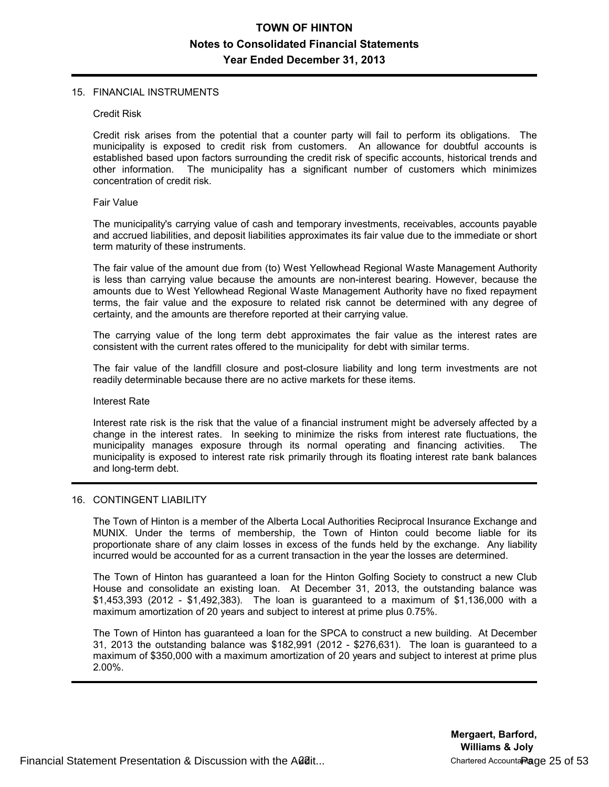#### 15. FINANCIAL INSTRUMENTS

#### Credit Risk

Credit risk arises from the potential that a counter party will fail to perform its obligations. The municipality is exposed to credit risk from customers. An allowance for doubtful accounts is established based upon factors surrounding the credit risk of specific accounts, historical trends and other information. The municipality has a significant number of customers which minimizes The municipality has a significant number of customers which minimizes concentration of credit risk.

#### Fair Value

The municipality's carrying value of cash and temporary investments, receivables, accounts payable and accrued liabilities, and deposit liabilities approximates its fair value due to the immediate or short term maturity of these instruments.

The fair value of the amount due from (to) West Yellowhead Regional Waste Management Authority is less than carrying value because the amounts are non-interest bearing. However, because the amounts due to West Yellowhead Regional Waste Management Authority have no fixed repayment terms, the fair value and the exposure to related risk cannot be determined with any degree of certainty, and the amounts are therefore reported at their carrying value.

The carrying value of the long term debt approximates the fair value as the interest rates are consistent with the current rates offered to the municipality for debt with similar terms.

The fair value of the landfill closure and post-closure liability and long term investments are not readily determinable because there are no active markets for these items.

#### Interest Rate

Interest rate risk is the risk that the value of a financial instrument might be adversely affected by a change in the interest rates. In seeking to minimize the risks from interest rate fluctuations, the municipality manages exposure through its normal operating and financing activities. The municipality is exposed to interest rate risk primarily through its floating interest rate bank balances and long-term debt.

### 16. CONTINGENT LIABILITY

The Town of Hinton is a member of the Alberta Local Authorities Reciprocal Insurance Exchange and MUNIX. Under the terms of membership, the Town of Hinton could become liable for its proportionate share of any claim losses in excess of the funds held by the exchange. Any liability incurred would be accounted for as a current transaction in the year the losses are determined.

The Town of Hinton has guaranteed a loan for the Hinton Golfing Society to construct a new Club House and consolidate an existing loan. At December 31, 2013, the outstanding balance was \$1,453,393 (2012 - \$1,492,383). The loan is guaranteed to a maximum of \$1,136,000 with a maximum amortization of 20 years and subject to interest at prime plus 0.75%.

The Town of Hinton has guaranteed a loan for the SPCA to construct a new building. At December 31, 2013 the outstanding balance was \$182,991 (2012 - \$276,631). The loan is guaranteed to a maximum of \$350,000 with a maximum amortization of 20 years and subject to interest at prime plus 2.00%.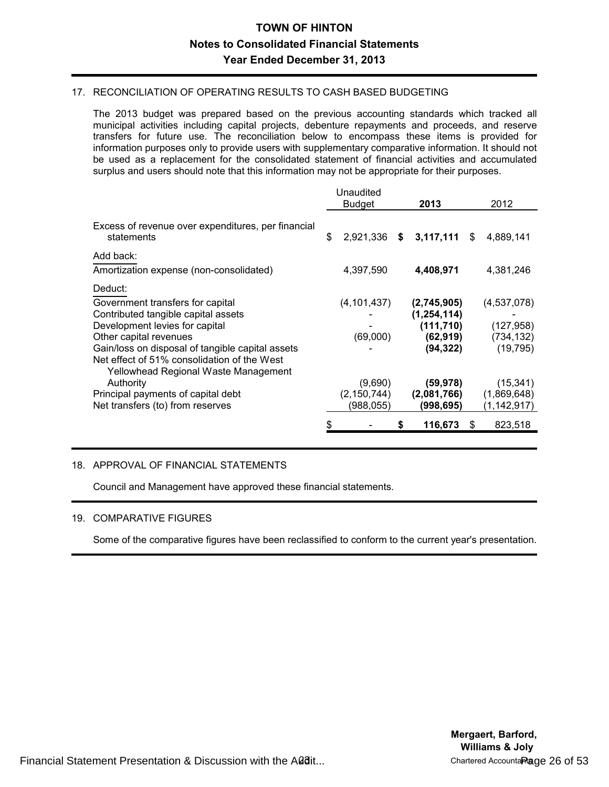## 17. RECONCILIATION OF OPERATING RESULTS TO CASH BASED BUDGETING

The 2013 budget was prepared based on the previous accounting standards which tracked all municipal activities including capital projects, debenture repayments and proceeds, and reserve transfers for future use. The reconciliation below to encompass these items is provided for information purposes only to provide users with supplementary comparative information. It should not be used as a replacement for the consolidated statement of financial activities and accumulated surplus and users should note that this information may not be appropriate for their purposes.

|                                                                                                                                                                                                                                                   | Unaudited<br><b>Budget</b>            | 2013                                                                 |     | 2012                                                 |
|---------------------------------------------------------------------------------------------------------------------------------------------------------------------------------------------------------------------------------------------------|---------------------------------------|----------------------------------------------------------------------|-----|------------------------------------------------------|
| Excess of revenue over expenditures, per financial<br>statements                                                                                                                                                                                  | \$<br>2,921,336                       | \$<br>3,117,111                                                      | S.  | 4,889,141                                            |
| Add back:<br>Amortization expense (non-consolidated)                                                                                                                                                                                              | 4,397,590                             | 4,408,971                                                            |     | 4,381,246                                            |
| Deduct:<br>Government transfers for capital<br>Contributed tangible capital assets<br>Development levies for capital<br>Other capital revenues<br>Gain/loss on disposal of tangible capital assets<br>Net effect of 51% consolidation of the West | (4, 101, 437)<br>(69,000)             | (2,745,905)<br>(1, 254, 114)<br>(111, 710)<br>(62, 919)<br>(94, 322) |     | (4,537,078)<br>(127, 958)<br>(734, 132)<br>(19, 795) |
| Yellowhead Regional Waste Management<br>Authority<br>Principal payments of capital debt<br>Net transfers (to) from reserves                                                                                                                       | (9,690)<br>(2, 150, 744)<br>(988,055) | (59, 978)<br>(2,081,766)<br>(998, 695)<br>116,673                    | \$. | (15, 341)<br>(1,869,648)<br>(1, 142, 917)<br>823,518 |

# 18. APPROVAL OF FINANCIAL STATEMENTS

Council and Management have approved these financial statements.

### 19. COMPARATIVE FIGURES

Some of the comparative figures have been reclassified to conform to the current year's presentation.

Financial Statement Presentation & Discussion with the Audit... 23 Chartered Accountants Page 26 of 53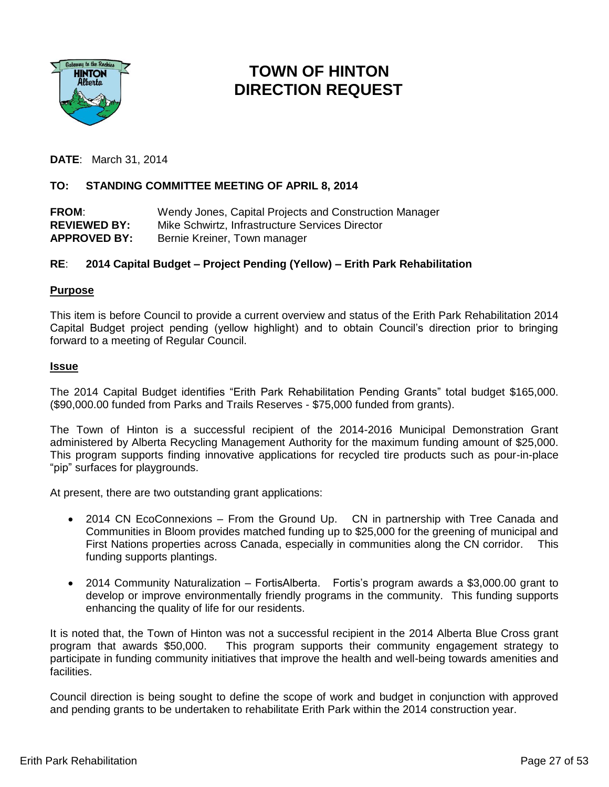

# **TOWN OF HINTON DIRECTION REQUEST**

**DATE**: March 31, 2014

# **TO: STANDING COMMITTEE MEETING OF APRIL 8, 2014**

**FROM**: Wendy Jones, Capital Projects and Construction Manager **REVIEWED BY:** Mike Schwirtz, Infrastructure Services Director APPROVED BY: Bernie Kreiner, Town manager

# **RE**: **2014 Capital Budget – Project Pending (Yellow) – Erith Park Rehabilitation**

## **Purpose**

This item is before Council to provide a current overview and status of the Erith Park Rehabilitation 2014 Capital Budget project pending (yellow highlight) and to obtain Council's direction prior to bringing forward to a meeting of Regular Council.

## **Issue**

The 2014 Capital Budget identifies "Erith Park Rehabilitation Pending Grants" total budget \$165,000. (\$90,000.00 funded from Parks and Trails Reserves - \$75,000 funded from grants).

The Town of Hinton is a successful recipient of the 2014-2016 Municipal Demonstration Grant administered by Alberta Recycling Management Authority for the maximum funding amount of \$25,000. This program supports finding innovative applications for recycled tire products such as pour-in-place "pip" surfaces for playgrounds.

At present, there are two outstanding grant applications:

- 2014 CN EcoConnexions From the Ground Up. CN in partnership with Tree Canada and Communities in Bloom provides matched funding up to \$25,000 for the greening of municipal and First Nations properties across Canada, especially in communities along the CN corridor. This funding supports plantings.
- 2014 Community Naturalization FortisAlberta. Fortis's program awards a \$3,000.00 grant to develop or improve environmentally friendly programs in the community. This funding supports enhancing the quality of life for our residents.

It is noted that, the Town of Hinton was not a successful recipient in the 2014 Alberta Blue Cross grant program that awards \$50,000. This program supports their community engagement strategy to participate in funding community initiatives that improve the health and well-being towards amenities and facilities.

Council direction is being sought to define the scope of work and budget in conjunction with approved and pending grants to be undertaken to rehabilitate Erith Park within the 2014 construction year.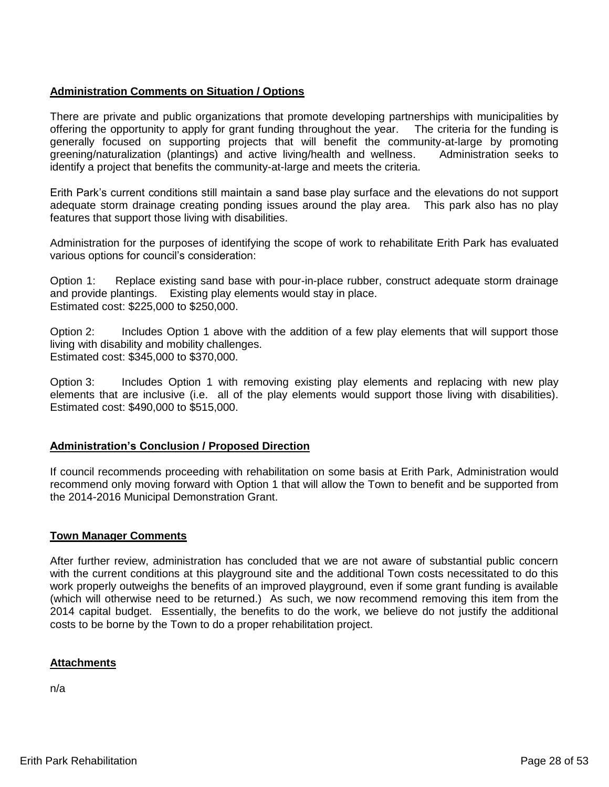## **Administration Comments on Situation / Options**

There are private and public organizations that promote developing partnerships with municipalities by offering the opportunity to apply for grant funding throughout the year. The criteria for the funding is generally focused on supporting projects that will benefit the community-at-large by promoting greening/naturalization (plantings) and active living/health and wellness. Administration seeks to identify a project that benefits the community-at-large and meets the criteria.

Erith Park's current conditions still maintain a sand base play surface and the elevations do not support adequate storm drainage creating ponding issues around the play area. This park also has no play features that support those living with disabilities.

Administration for the purposes of identifying the scope of work to rehabilitate Erith Park has evaluated various options for council's consideration:

Option 1: Replace existing sand base with pour-in-place rubber, construct adequate storm drainage and provide plantings. Existing play elements would stay in place. Estimated cost: \$225,000 to \$250,000.

Option 2: Includes Option 1 above with the addition of a few play elements that will support those living with disability and mobility challenges. Estimated cost: \$345,000 to \$370,000.

Option 3: Includes Option 1 with removing existing play elements and replacing with new play elements that are inclusive (i.e. all of the play elements would support those living with disabilities). Estimated cost: \$490,000 to \$515,000.

# **Administration's Conclusion / Proposed Direction**

If council recommends proceeding with rehabilitation on some basis at Erith Park, Administration would recommend only moving forward with Option 1 that will allow the Town to benefit and be supported from the 2014-2016 Municipal Demonstration Grant.

## **Town Manager Comments**

After further review, administration has concluded that we are not aware of substantial public concern with the current conditions at this playground site and the additional Town costs necessitated to do this work properly outweighs the benefits of an improved playground, even if some grant funding is available (which will otherwise need to be returned.) As such, we now recommend removing this item from the 2014 capital budget. Essentially, the benefits to do the work, we believe do not justify the additional costs to be borne by the Town to do a proper rehabilitation project.

# **Attachments**

n/a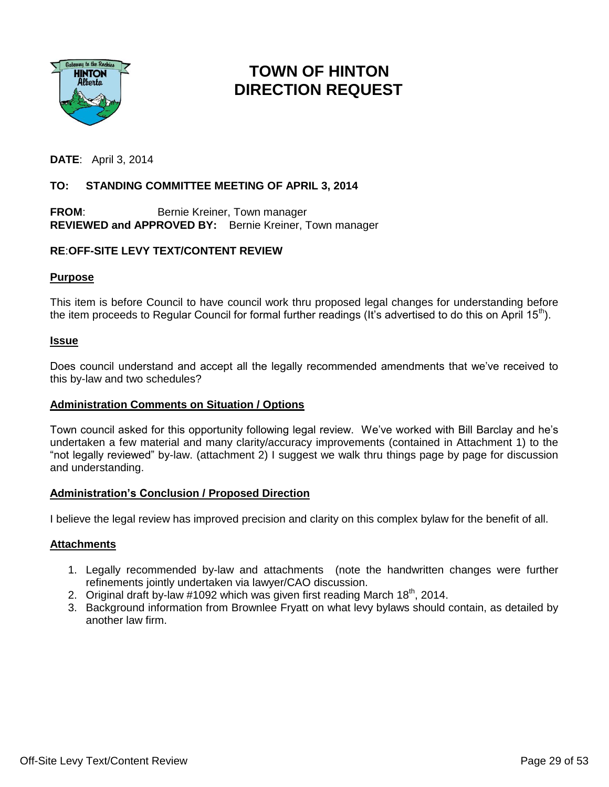

# **TOWN OF HINTON DIRECTION REQUEST**

**DATE**: April 3, 2014

# **TO: STANDING COMMITTEE MEETING OF APRIL 3, 2014**

**FROM:** Bernie Kreiner, Town manager **REVIEWED and APPROVED BY:** Bernie Kreiner, Town manager

## **RE**:**OFF-SITE LEVY TEXT/CONTENT REVIEW**

## **Purpose**

This item is before Council to have council work thru proposed legal changes for understanding before the item proceeds to Regular Council for formal further readings (It's advertised to do this on April 15<sup>th</sup>).

## **Issue**

Does council understand and accept all the legally recommended amendments that we've received to this by-law and two schedules?

## **Administration Comments on Situation / Options**

Town council asked for this opportunity following legal review. We've worked with Bill Barclay and he's undertaken a few material and many clarity/accuracy improvements (contained in Attachment 1) to the "not legally reviewed" by-law. (attachment 2) I suggest we walk thru things page by page for discussion and understanding.

### **Administration's Conclusion / Proposed Direction**

I believe the legal review has improved precision and clarity on this complex bylaw for the benefit of all.

### **Attachments**

- 1. Legally recommended by-law and attachments (note the handwritten changes were further refinements jointly undertaken via lawyer/CAO discussion.
- 2. Original draft by-law #1092 which was given first reading March  $18<sup>th</sup>$ , 2014.
- 3. Background information from Brownlee Fryatt on what levy bylaws should contain, as detailed by another law firm.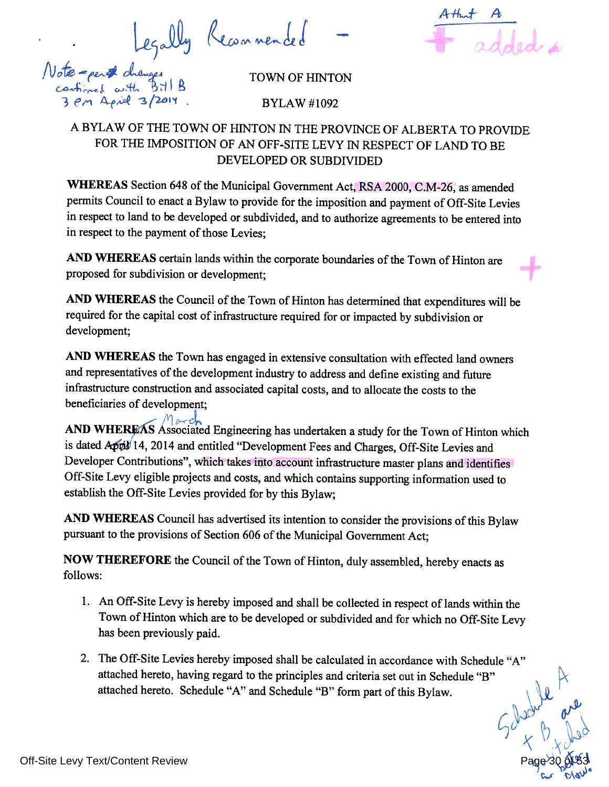Legally Recommended



TOWN OF HINTON

**BYLAW#1092** 

# A BYLAW OF THE TOWN OF HINTON IN THE PROVINCE OF ALBERTA TO PROVIDE FOR THE IMPOSITION OF AN OFF-SITE LEVY IN RESPECT OF LAND TO BE DEVELOPED OR SUBDIVIDED

WHEREAS Section 648 of the Municipal Government Act, RSA 2000, C.M-26, as amended permits Council to enact a Bylaw to provide for the imposition and payment of Off-Site Levies in respect to land to be developed or subdivided, and to authorize agreements to be entered into in respect to the payment of those Levies;

AND WHEREAS certain lands within the corporate boundaries of the Town of Hinton are proposed for subdivision or development:

AND WHEREAS the Council of the Town of Hinton has determined that expenditures will be required for the capital cost of infrastructure required for or impacted by subdivision or development;

AND WHEREAS the Town has engaged in extensive consultation with effected land owners and representatives of the development industry to address and define existing and future infrastructure construction and associated capital costs, and to allocate the costs to the beneficiaries of development;

**AND WHEREAS** Associated Engineering has undertaken a study for the Town of Hinton which is dated April 14, 2014 and entitled "Development Fees and Charges, Off-Site Levies and Developer Contributions", which takes into account infrastructure master plans and identifies Off-Site Levy eligible projects and costs, and which contains supporting information used to establish the Off-Site Levies provided for by this Bylaw;

AND WHEREAS Council has advertised its intention to consider the provisions of this Bylaw pursuant to the provisions of Section 606 of the Municipal Government Act;

NOW THEREFORE the Council of the Town of Hinton, duly assembled, hereby enacts as follows:

- 1. An Off-Site Levy is hereby imposed and shall be collected in respect of lands within the Town of Hinton which are to be developed or subdivided and for which no Off-Site Levy has been previously paid.
- 2. The Off-Site Levies hereby imposed shall be calculated in accordance with Schedule "A" attached hereto, having regard to the principles and criteria set out in Schedule "B" attached hereto. Schedule "A" and Schedule "B" form part of this Bylaw. t a limite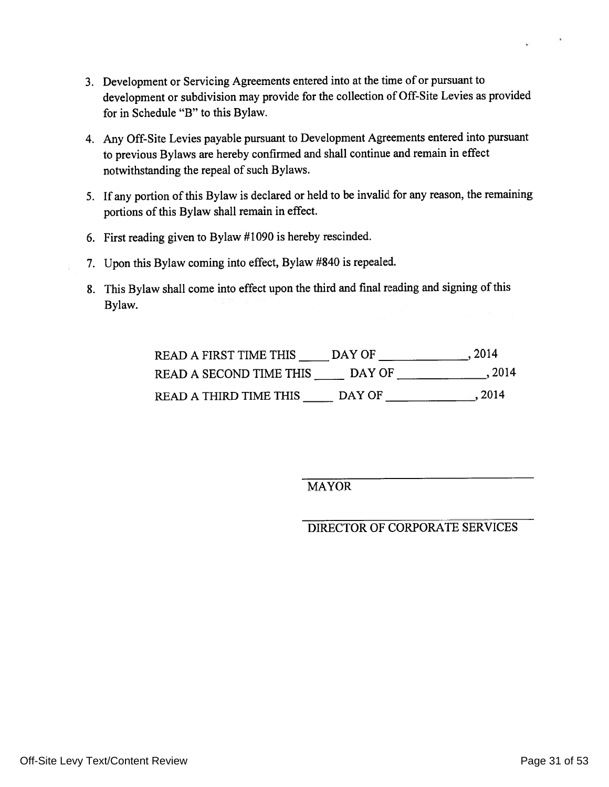- 3. Development or Servicing Agreements entered into at the time of or pursuant to development or subdivision may provide for the collection of Off-Site Levies as provided for in Schedule "B" to this Bylaw.
- 4. Any Off-Site Levies payable pursuant to Development Agreements entered into pursuant to previous Bylaws are hereby confirmed and shall continue and remain in effect notwithstanding the repeal of such Bylaws.
- 5. If any portion of this Bylaw is declared or held to be invalid for any reason, the remaining portions of this Bylaw shall remain in effect.
- 6. First reading given to Bylaw #1090 is hereby rescinded.
- 7. Upon this Bylaw coming into effect, Bylaw #840 is repealed.
- 8. This Bylaw shall come into effect upon the third and final reading and signing of this Bylaw.

| <b>READ A FIRST TIME THIS</b> | DAY OF | . 2014 |
|-------------------------------|--------|--------|
| READ A SECOND TIME THIS       | DAY OF | . 2014 |
| READ A THIRD TIME THIS        | DAY OF | , 2014 |

**MAYOR** 

DIRECTOR OF CORPORATE SERVICES

 $\mathbf{r}$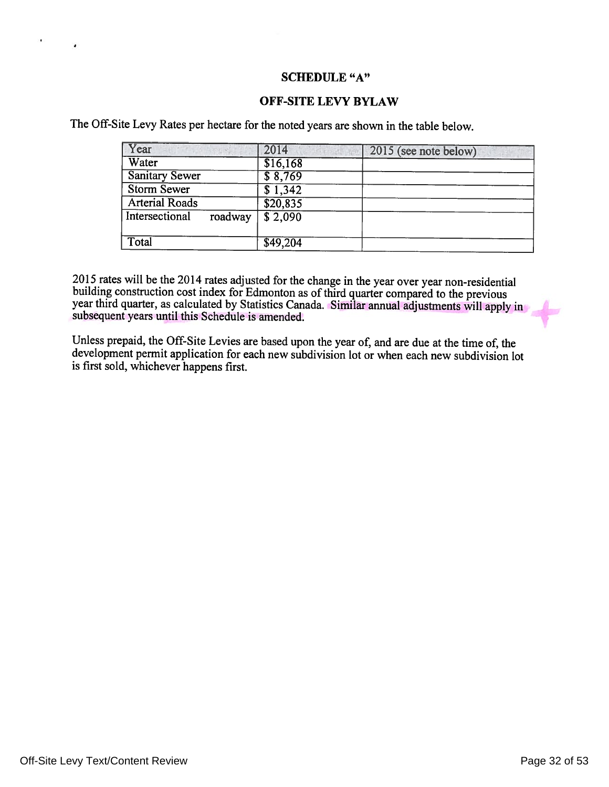## **SCHEDULE "A"**

## **OFF-SITE LEVY BYLAW**

The Off-Site Levy Rates per hectare for the noted years are shown in the table below.

| Year                      | 2014            | 2015 (see note below) |
|---------------------------|-----------------|-----------------------|
| Water                     | \$16,168        |                       |
| <b>Sanitary Sewer</b>     | \$8,769         |                       |
| <b>Storm Sewer</b>        | \$1,342         |                       |
| <b>Arterial Roads</b>     | \$20,835        |                       |
| Intersectional<br>roadway | $\sqrt{$2,090}$ |                       |
| Total                     | \$49,204        |                       |

2015 rates will be the 2014 rates adjusted for the change in the year over year non-residential building construction cost index for Edmonton as of third quarter compared to the previous year third quarter, as calculated by Statistics Canada. Similar annual adjustments will apply in subsequent years until this Schedule is amended.

Unless prepaid, the Off-Site Levies are based upon the year of, and are due at the time of, the development permit application for each new subdivision lot or when each new subdivision lot is first sold, whichever happens first.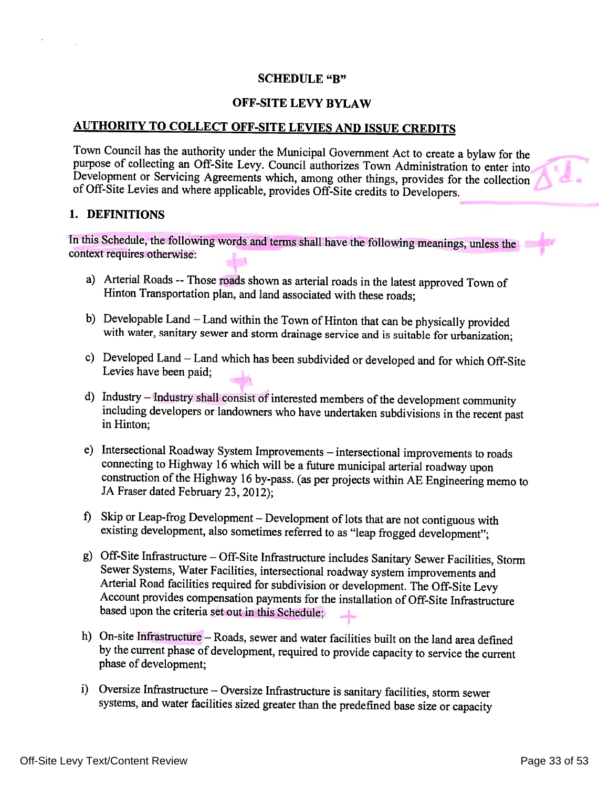## **SCHEDULE "B"**

# OFF-SITE LEVY BYLAW

# **AUTHORITY TO COLLECT OFF-SITE LEVIES AND ISSUE CREDITS**

Town Council has the authority under the Municipal Government Act to create a bylaw for the purpose of collecting an Off-Site Levy. Council authorizes Town Administration to enter into Development or Servicing Agreements which, among other things, provides for the collection of Off-Site Levies and where applicable, provides Off-Site credits to Developers.

## 1. DEFINITIONS

In this Schedule, the following words and terms shall have the following meanings, unless the context requires otherwise:

- a) Arterial Roads -- Those roads shown as arterial roads in the latest approved Town of Hinton Transportation plan, and land associated with these roads;
- b) Developable Land Land within the Town of Hinton that can be physically provided with water, sanitary sewer and storm drainage service and is suitable for urbanization;
- c) Developed Land Land which has been subdivided or developed and for which Off-Site Levies have been paid;
- d) Industry Industry shall consist of interested members of the development community including developers or landowners who have undertaken subdivisions in the recent past in Hinton:
- e) Intersectional Roadway System Improvements intersectional improvements to roads connecting to Highway 16 which will be a future municipal arterial roadway upon construction of the Highway 16 by-pass. (as per projects within AE Engineering memo to JA Fraser dated February 23, 2012);
- f) Skip or Leap-frog Development Development of lots that are not contiguous with existing development, also sometimes referred to as "leap frogged development";
- g) Off-Site Infrastructure Off-Site Infrastructure includes Sanitary Sewer Facilities, Storm Sewer Systems, Water Facilities, intersectional roadway system improvements and Arterial Road facilities required for subdivision or development. The Off-Site Levy Account provides compensation payments for the installation of Off-Site Infrastructure based upon the criteria set out in this Schedule;
- h) On-site Infrastructure Roads, sewer and water facilities built on the land area defined by the current phase of development, required to provide capacity to service the current phase of development;
- i) Oversize Infrastructure Oversize Infrastructure is sanitary facilities, storm sewer systems, and water facilities sized greater than the predefined base size or capacity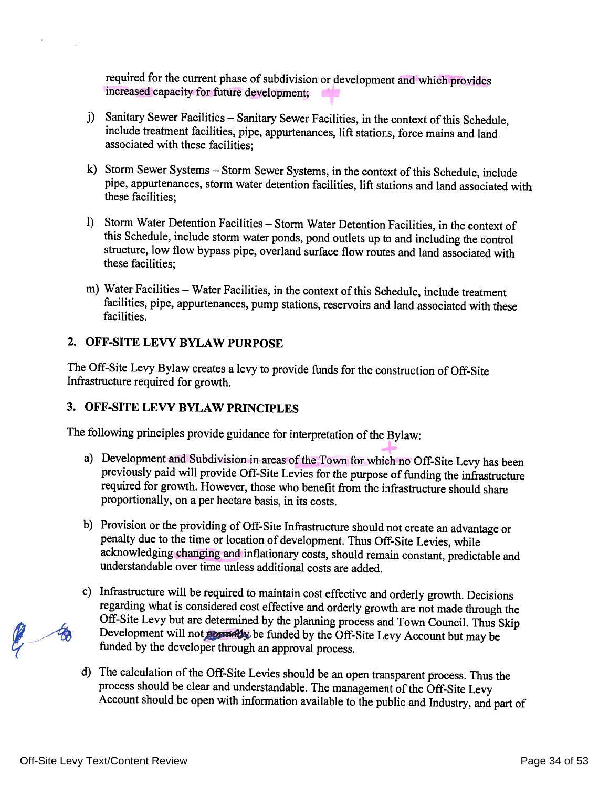required for the current phase of subdivision or development and which provides increased capacity for future development;

- j) Sanitary Sewer Facilities Sanitary Sewer Facilities, in the context of this Schedule, include treatment facilities, pipe, appurtenances, lift stations, force mains and land associated with these facilities:
- k) Storm Sewer Systems Storm Sewer Systems, in the context of this Schedule, include pipe, appurtenances, storm water detention facilities, lift stations and land associated with these facilities:
- 1) Storm Water Detention Facilities Storm Water Detention Facilities, in the context of this Schedule, include storm water ponds, pond outlets up to and including the control structure, low flow bypass pipe, overland surface flow routes and land associated with these facilities:
- m) Water Facilities Water Facilities, in the context of this Schedule, include treatment facilities, pipe, appurtenances, pump stations, reservoirs and land associated with these facilities.

# 2. OFF-SITE LEVY BYLAW PURPOSE

The Off-Site Levy Bylaw creates a levy to provide funds for the construction of Off-Site Infrastructure required for growth.

# 3. OFF-SITE LEVY BYLAW PRINCIPLES

The following principles provide guidance for interpretation of the Bylaw:

- a) Development and Subdivision in areas of the Town for which no Off-Site Levy has been previously paid will provide Off-Site Levies for the purpose of funding the infrastructure required for growth. However, those who benefit from the infrastructure should share proportionally, on a per hectare basis, in its costs.
- b) Provision or the providing of Off-Site Infrastructure should not create an advantage or penalty due to the time or location of development. Thus Off-Site Levies, while acknowledging changing and inflationary costs, should remain constant, predictable and understandable over time unless additional costs are added.
- c) Infrastructure will be required to maintain cost effective and orderly growth. Decisions regarding what is considered cost effective and orderly growth are not made through the Off-Site Levy but are determined by the planning process and Town Council. Thus Skip Development will not pound by the Off-Site Levy Account but may be funded by the developer through an approval process.
- d) The calculation of the Off-Site Levies should be an open transparent process. Thus the process should be clear and understandable. The management of the Off-Site Levy Account should be open with information available to the public and Industry, and part of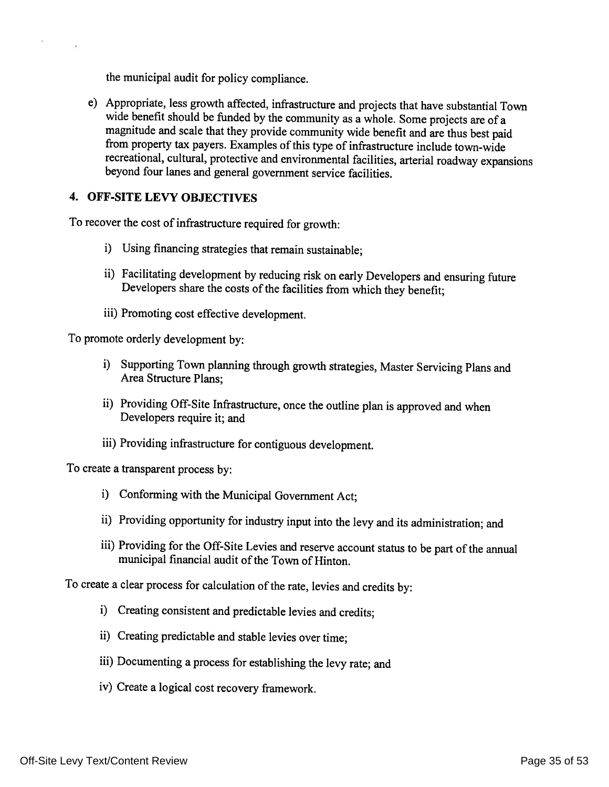the municipal audit for policy compliance.

e) Appropriate, less growth affected, infrastructure and projects that have substantial Town wide benefit should be funded by the community as a whole. Some projects are of a magnitude and scale that they provide community wide benefit and are thus best paid from property tax payers. Examples of this type of infrastructure include town-wide recreational, cultural, protective and environmental facilities, arterial roadway expansions beyond four lanes and general government service facilities.

# 4. OFF-SITE LEVY OBJECTIVES

To recover the cost of infrastructure required for growth:

- i) Using financing strategies that remain sustainable;
- ii) Facilitating development by reducing risk on early Developers and ensuring future Developers share the costs of the facilities from which they benefit;
- iii) Promoting cost effective development.

To promote orderly development by:

- i) Supporting Town planning through growth strategies, Master Servicing Plans and Area Structure Plans;
- ii) Providing Off-Site Infrastructure, once the outline plan is approved and when Developers require it; and
- iii) Providing infrastructure for contiguous development.

To create a transparent process by:

- i) Conforming with the Municipal Government Act;
- ii) Providing opportunity for industry input into the levy and its administration; and
- iii) Providing for the Off-Site Levies and reserve account status to be part of the annual municipal financial audit of the Town of Hinton.

To create a clear process for calculation of the rate, levies and credits by:

- i) Creating consistent and predictable levies and credits;
- ii) Creating predictable and stable levies over time;
- iii) Documenting a process for establishing the levy rate; and
- iv) Create a logical cost recovery framework.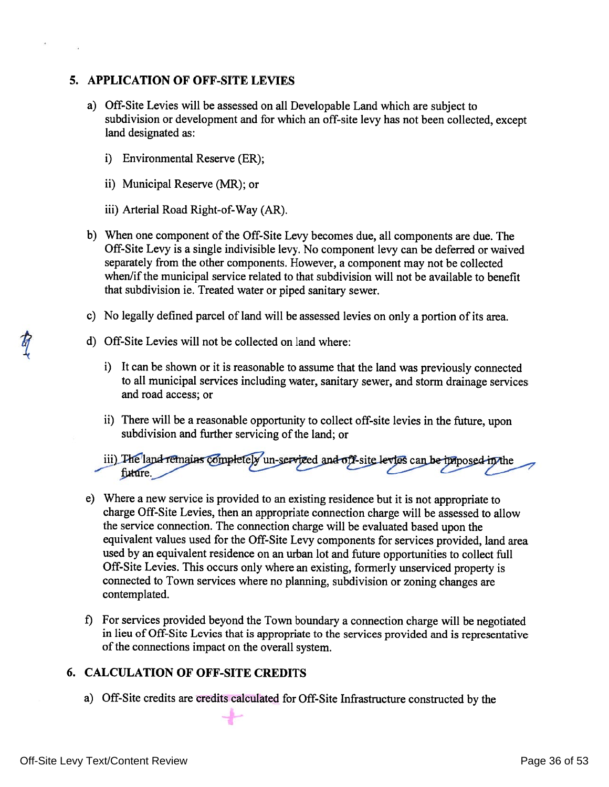# 5. APPLICATION OF OFF-SITE LEVIES

- a) Off-Site Levies will be assessed on all Developable Land which are subject to subdivision or development and for which an off-site levy has not been collected, except land designated as:
	- i) Environmental Reserve (ER);
	- ii) Municipal Reserve (MR); or
	- iii) Arterial Road Right-of-Way (AR).
- b) When one component of the Off-Site Levy becomes due, all components are due. The Off-Site Levy is a single indivisible levy. No component levy can be deferred or waived separately from the other components. However, a component may not be collected when/if the municipal service related to that subdivision will not be available to benefit that subdivision ie. Treated water or piped sanitary sewer.
- c) No legally defined parcel of land will be assessed levies on only a portion of its area.
- d) Off-Site Levies will not be collected on land where:
	- i) It can be shown or it is reasonable to assume that the land was previously connected to all municipal services including water, sanitary sewer, and storm drainage services and road access; or
	- ii) There will be a reasonable opportunity to collect off-site levies in the future, upon subdivision and further servicing of the land; or
	- iii) The land remains completely un-serviced and off-site levies can be innosed in the future.
- e) Where a new service is provided to an existing residence but it is not appropriate to charge Off-Site Levies, then an appropriate connection charge will be assessed to allow the service connection. The connection charge will be evaluated based upon the equivalent values used for the Off-Site Levy components for services provided, land area used by an equivalent residence on an urban lot and future opportunities to collect full Off-Site Levies. This occurs only where an existing, formerly unserviced property is connected to Town services where no planning, subdivision or zoning changes are contemplated.
- f) For services provided beyond the Town boundary a connection charge will be negotiated in lieu of Off-Site Levies that is appropriate to the services provided and is representative of the connections impact on the overall system.

# **6. CALCULATION OF OFF-SITE CREDITS**

a) Off-Site credits are credits calculated for Off-Site Infrastructure constructed by the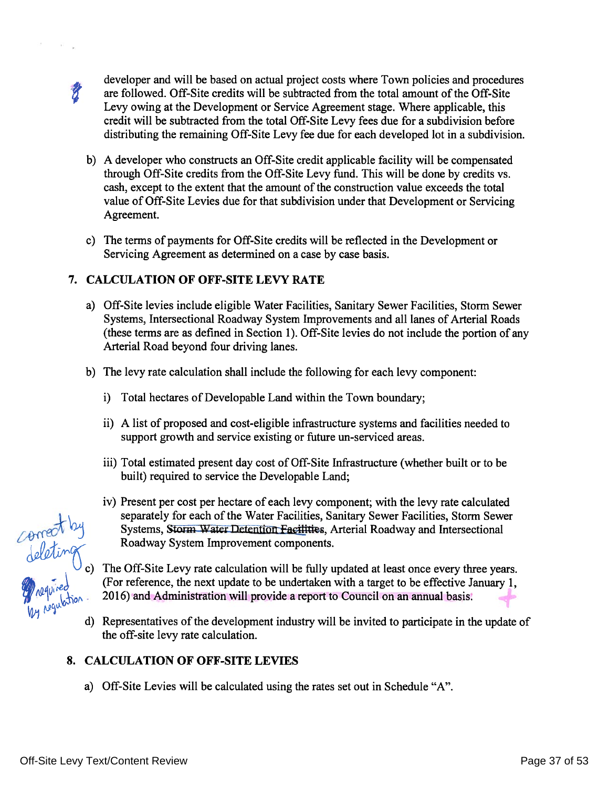developer and will be based on actual project costs where Town policies and procedures are followed. Off-Site credits will be subtracted from the total amount of the Off-Site Levy owing at the Development or Service Agreement stage. Where applicable, this credit will be subtracted from the total Off-Site Levy fees due for a subdivision before distributing the remaining Off-Site Levy fee due for each developed lot in a subdivision.

- b) A developer who constructs an Off-Site credit applicable facility will be compensated through Off-Site credits from the Off-Site Levy fund. This will be done by credits vs. cash, except to the extent that the amount of the construction value exceeds the total value of Off-Site Levies due for that subdivision under that Development or Servicing Agreement.
- c) The terms of payments for Off-Site credits will be reflected in the Development or Servicing Agreement as determined on a case by case basis.

# 7. CALCULATION OF OFF-SITE LEVY RATE

- a) Off-Site levies include eligible Water Facilities, Sanitary Sewer Facilities, Storm Sewer Systems, Intersectional Roadway System Improvements and all lanes of Arterial Roads (these terms are as defined in Section 1). Off-Site levies do not include the portion of any Arterial Road beyond four driving lanes.
- b) The levy rate calculation shall include the following for each levy component:
	- i) Total hectares of Developable Land within the Town boundary;
	- ii) A list of proposed and cost-eligible infrastructure systems and facilities needed to support growth and service existing or future un-serviced areas.
	- iii) Total estimated present day cost of Off-Site Infrastructure (whether built or to be built) required to service the Developable Land;
- $(201)$ <br>  $(201)$ <br>  $(201)$ <br>  $(201)$ <br>  $(201)$ <br>  $(201)$ <br>  $(201)$ <br>  $(201)$ <br>  $(201)$ <br>  $(201)$ <br>  $(201)$ <br>  $(201)$ <br>  $(201)$ <br>  $(201)$ <br>  $(201)$ <br>  $(201)$ <br>  $(201)$ <br>  $(201)$ <br>  $(201)$ <br>  $(201)$ <br>  $(201)$ <br>  $(201)$ <br>  $(201)$ <br>  $(201)$ <br>  $(201$

d) Representatives of the development industry will be invited to participate in the update of the off-site levy rate calculation.

# 8. CALCULATION OF OFF-SITE LEVIES

a) Off-Site Levies will be calculated using the rates set out in Schedule "A".

 $\boldsymbol{z}$ 

Off-Site Levy Text/Content Review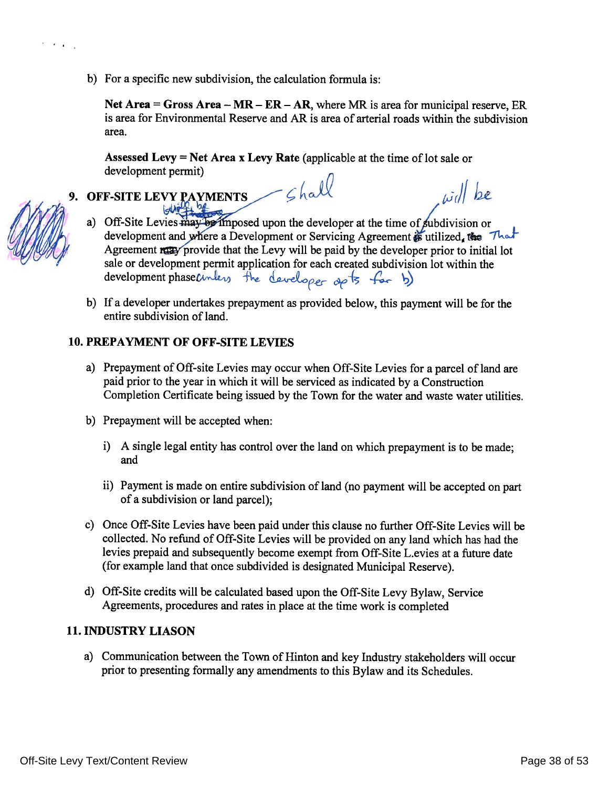b) For a specific new subdivision, the calculation formula is:

Net Area = Gross Area  $-MR - ER - AR$ , where MR is area for municipal reserve. ER is area for Environmental Reserve and AR is area of arterial roads within the subdivision area.

 $\omega$ dl be

Assessed Levy = Net Area x Levy Rate (applicable at the time of lot sale or development permit)  $-\epsilon$ hall

- 9. OFF-SITE LEVY PAYMENTS
	- a) Off-Site Levies may be imposed upon the developer at the time of subdivision or development and where a Development or Servicing Agreement is utilized, the That Agreement razy provide that the Levy will be paid by the developer prior to initial lot sale or development permit application for each created subdivision lot within the development phasecuriless the developer op to far b)
	- b) If a developer undertakes prepayment as provided below, this payment will be for the entire subdivision of land.

# **10. PREPAYMENT OF OFF-SITE LEVIES**

- a) Prepayment of Off-site Levies may occur when Off-Site Levies for a parcel of land are paid prior to the year in which it will be serviced as indicated by a Construction Completion Certificate being issued by the Town for the water and waste water utilities.
- b) Prepayment will be accepted when:
	- i) A single legal entity has control over the land on which prepayment is to be made; and
	- ii) Payment is made on entire subdivision of land (no payment will be accepted on part of a subdivision or land parcel);
- c) Once Off-Site Levies have been paid under this clause no further Off-Site Levies will be collected. No refund of Off-Site Levies will be provided on any land which has had the levies prepaid and subsequently become exempt from Off-Site L.evies at a future date (for example land that once subdivided is designated Municipal Reserve).
- d) Off-Site credits will be calculated based upon the Off-Site Levy Bylaw, Service Agreements, procedures and rates in place at the time work is completed

# **11. INDUSTRY LIASON**

a) Communication between the Town of Hinton and key Industry stakeholders will occur prior to presenting formally any amendments to this Bylaw and its Schedules.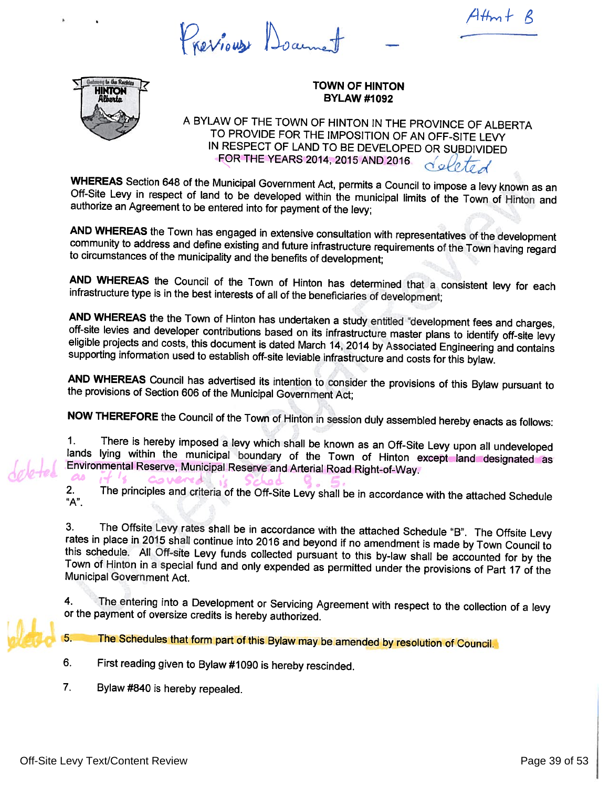Previous Doame

 $AHm+$ 



## **TOWN OF HINTON BYLAW #1092**

A BYLAW OF THE TOWN OF HINTON IN THE PROVINCE OF ALBERTA TO PROVIDE FOR THE IMPOSITION OF AN OFF-SITE LEVY IN RESPECT OF LAND TO BE DEVELOPED OR SUBDIVIDED FOR THE YEARS 2014, 2015 AND 2016. deleted

WHEREAS Section 648 of the Municipal Government Act, permits a Council to impose a levy known as an Off-Site Levy in respect of land to be developed within the municipal limits of the Town of Hinton and authorize an Agreement to be entered into for payment of the levy;

AND WHEREAS the Town has engaged in extensive consultation with representatives of the development community to address and define existing and future infrastructure requirements of the Town having regard to circumstances of the municipality and the benefits of development;

AND WHEREAS the Council of the Town of Hinton has determined that a consistent levy for each infrastructure type is in the best interests of all of the beneficiaries of development;

AND WHEREAS the the Town of Hinton has undertaken a study entitled "development fees and charges, off-site levies and developer contributions based on its infrastructure master plans to identify off-site levy eligible projects and costs, this document is dated March 14, 2014 by Associated Engineering and contains supporting information used to establish off-site leviable infrastructure and costs for this bylaw.

AND WHEREAS Council has advertised its intention to consider the provisions of this Bylaw pursuant to the provisions of Section 606 of the Municipal Government Act;

NOW THEREFORE the Council of the Town of Hinton in session duly assembled hereby enacts as follows:

There is hereby imposed a levy which shall be known as an Off-Site Levy upon all undeveloped  $1.$ lands lying within the municipal boundary of the Town of Hinton except land designated as Environmental Reserve, Municipal Reserve and Arterial Road Right-of-Way.  $\boldsymbol{\alpha}$ 

COVERA

The principles and criteria of the Off-Site Levy shall be in accordance with the attached Schedule  $2.$ "А".

The Offsite Levy rates shall be in accordance with the attached Schedule "B". The Offsite Levy 3. rates in place in 2015 shall continue into 2016 and beyond if no amendment is made by Town Council to this schedule. All Off-site Levy funds collected pursuant to this by-law shall be accounted for by the Town of Hinton in a special fund and only expended as permitted under the provisions of Part 17 of the Municipal Government Act.

The entering into a Development or Servicing Agreement with respect to the collection of a levy 4. or the payment of oversize credits is hereby authorized.

The Schedules that form part of this Bylaw may be amended by resolution of Council. 5.

- 6. First reading given to Bylaw #1090 is hereby rescinded.
- 7. Bylaw #840 is hereby repealed.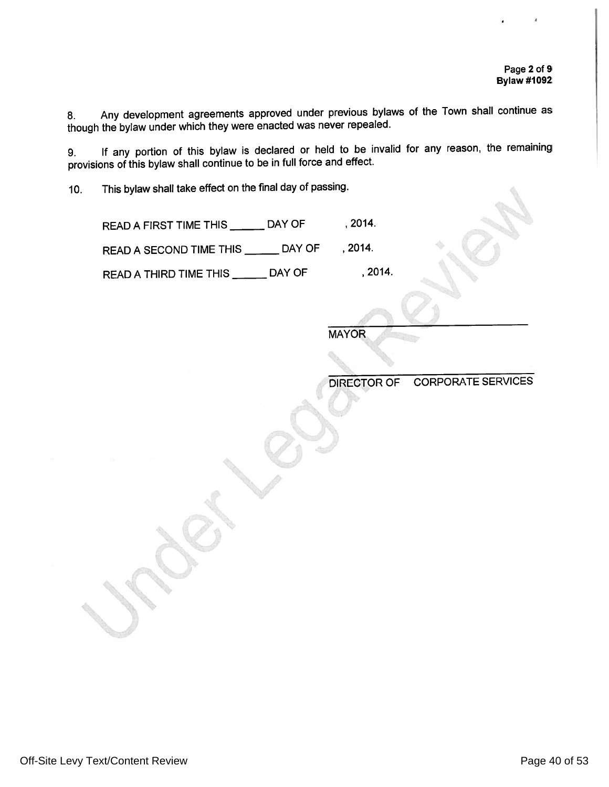Any development agreements approved under previous bylaws of the Town shall continue as  $8.$ though the bylaw under which they were enacted was never repealed.

If any portion of this bylaw is declared or held to be invalid for any reason, the remaining 9. provisions of this bylaw shall continue to be in full force and effect.

This bylaw shall take effect on the final day of passing.  $10.$ 

> READ A FIRST TIME THIS \_\_\_\_\_\_\_ DAY OF  $, 2014.$

READ A SECOND TIME THIS \_\_\_\_\_\_ DAY OF , 2014.

READ A THIRD TIME THIS \_\_\_\_\_\_\_ DAY OF , 2014.

**MAYOR** 

**CORPORATE SERVICES DIRECTOR OF**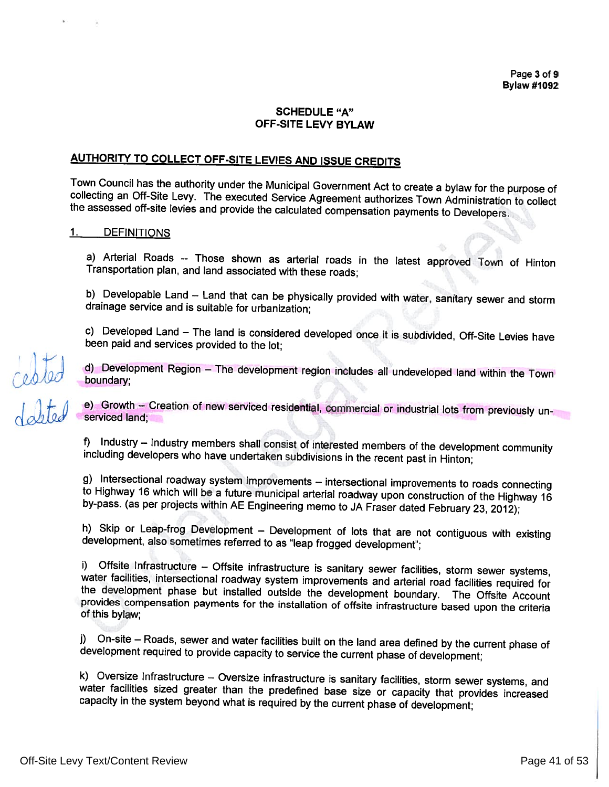## **SCHEDULE "A"** OFF-SITE LEVY BYLAW

# **AUTHORITY TO COLLECT OFF-SITE LEVIES AND ISSUE CREDITS**

Town Council has the authority under the Municipal Government Act to create a bylaw for the purpose of collecting an Off-Site Levy. The executed Service Agreement authorizes Town Administration to collect the assessed off-site levies and provide the calculated compensation payments to Developers.

#### $\mathbf{1}$ . **DEFINITIONS**

celeled<br>10tel

a) Arterial Roads -- Those shown as arterial roads in the latest approved Town of Hinton Transportation plan, and land associated with these roads;

b) Developable Land - Land that can be physically provided with water, sanitary sewer and storm drainage service and is suitable for urbanization;

c) Developed Land - The land is considered developed once it is subdivided, Off-Site Levies have been paid and services provided to the lot;

d) Development Region - The development region includes all undeveloped land within the Town boundary:

e) Growth - Creation of new serviced residential, commercial or industrial lots from previously unserviced land;

f) Industry - Industry members shall consist of interested members of the development community including developers who have undertaken subdivisions in the recent past in Hinton;

g) Intersectional roadway system improvements - intersectional improvements to roads connecting to Highway 16 which will be a future municipal arterial roadway upon construction of the Highway 16 by-pass. (as per projects within AE Engineering memo to JA Fraser dated February 23, 2012);

h) Skip or Leap-frog Development - Development of lots that are not contiguous with existing development, also sometimes referred to as "leap frogged development";

i) Offsite Infrastructure - Offsite infrastructure is sanitary sewer facilities, storm sewer systems, water facilities, intersectional roadway system improvements and arterial road facilities required for the development phase but installed outside the development boundary. The Offsite Account provides compensation payments for the installation of offsite infrastructure based upon the criteria of this bylaw;

j) On-site – Roads, sewer and water facilities built on the land area defined by the current phase of development required to provide capacity to service the current phase of development;

k) Oversize Infrastructure - Oversize infrastructure is sanitary facilities, storm sewer systems, and water facilities sized greater than the predefined base size or capacity that provides increased capacity in the system beyond what is required by the current phase of development;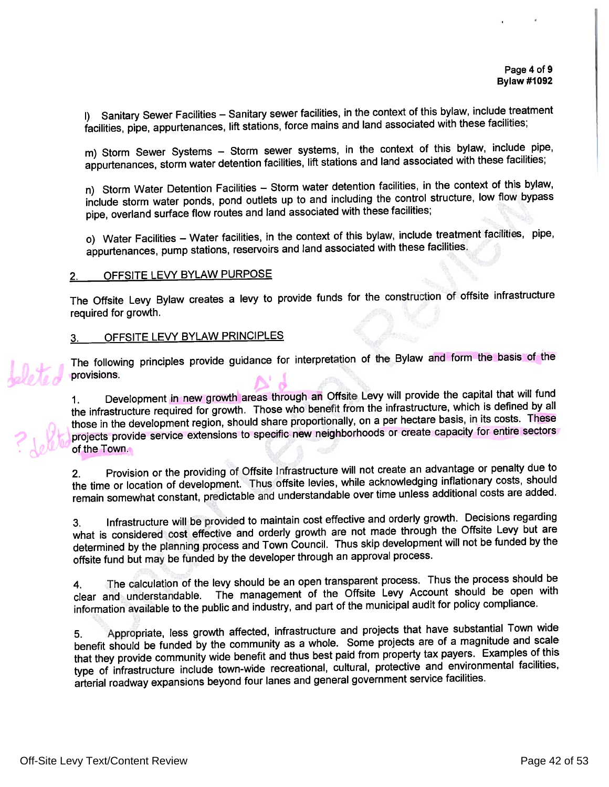I) Sanitary Sewer Facilities - Sanitary sewer facilities, in the context of this bylaw, include treatment facilities, pipe, appurtenances, lift stations, force mains and land associated with these facilities;

m) Storm Sewer Systems - Storm sewer systems, in the context of this bylaw, include pipe, appurtenances, storm water detention facilities, lift stations and land associated with these facilities;

n) Storm Water Detention Facilities - Storm water detention facilities, in the context of this bylaw, include storm water ponds, pond outlets up to and including the control structure, low flow bypass pipe, overland surface flow routes and land associated with these facilities;

o) Water Facilities - Water facilities, in the context of this bylaw, include treatment facilities, pipe, appurtenances, pump stations, reservoirs and land associated with these facilities.

#### OFFSITE LEVY BYLAW PURPOSE  $2.$

The Offsite Levy Bylaw creates a levy to provide funds for the construction of offsite infrastructure required for growth.

#### OFFSITE LEVY BYLAW PRINCIPLES 3.

The following principles provide guidance for interpretation of the Bylaw and form the basis of the provisions.

Development in new growth areas through an Offsite Levy will provide the capital that will fund  $1<sub>1</sub>$ the infrastructure required for growth. Those who benefit from the infrastructure, which is defined by all those in the development region, should share proportionally, on a per hectare basis, in its costs. These projects provide service extensions to specific new neighborhoods or create capacity for entire sectors of the Town.

Provision or the providing of Offsite Infrastructure will not create an advantage or penalty due to  $2.$ the time or location of development. Thus offsite levies, while acknowledging inflationary costs, should remain somewhat constant, predictable and understandable over time unless additional costs are added.

Infrastructure will be provided to maintain cost effective and orderly growth. Decisions regarding 3. what is considered cost effective and orderly growth are not made through the Offsite Levy but are determined by the planning process and Town Council. Thus skip development will not be funded by the offsite fund but may be funded by the developer through an approval process.

The calculation of the levy should be an open transparent process. Thus the process should be 4. clear and understandable. The management of the Offsite Levy Account should be open with information available to the public and industry, and part of the municipal audit for policy compliance.

Appropriate, less growth affected, infrastructure and projects that have substantial Town wide 5. benefit should be funded by the community as a whole. Some projects are of a magnitude and scale that they provide community wide benefit and thus best paid from property tax payers. Examples of this type of infrastructure include town-wide recreational, cultural, protective and environmental facilities, arterial roadway expansions beyond four lanes and general government service facilities.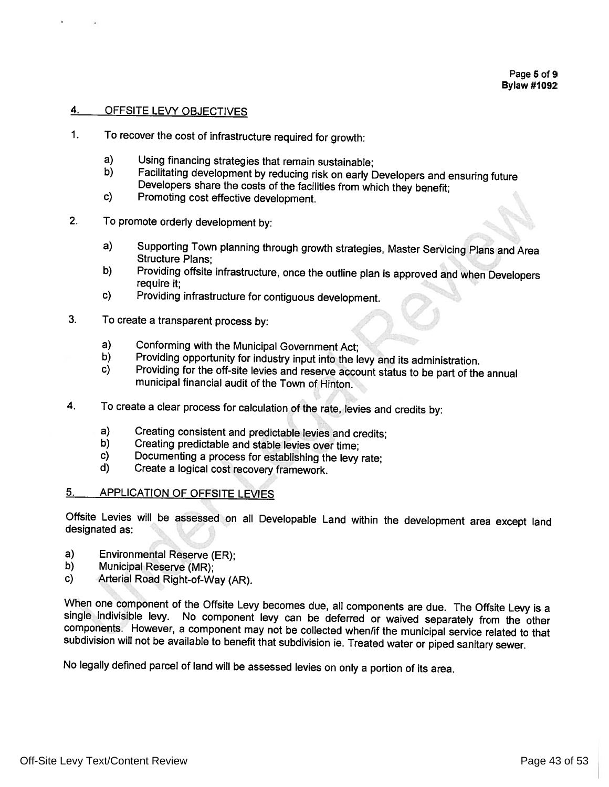#### 4. OFFSITE LEVY OBJECTIVES

- $1<sub>1</sub>$ To recover the cost of infrastructure required for growth:
	- $a)$ Using financing strategies that remain sustainable;
	- b) Facilitating development by reducing risk on early Developers and ensuring future Developers share the costs of the facilities from which they benefit;
	- c) Promoting cost effective development.
- $2.$ To promote orderly development by:
	- $a)$ Supporting Town planning through growth strategies, Master Servicing Plans and Area **Structure Plans:**
	- Providing offsite infrastructure, once the outline plan is approved and when Developers b) require it:
	- $c)$ Providing infrastructure for contiguous development.
- $3.$ To create a transparent process by:
	- $a)$ Conforming with the Municipal Government Act;
	- Providing opportunity for industry input into the levy and its administration. b)
	- Providing for the off-site levies and reserve account status to be part of the annual  $c)$ municipal financial audit of the Town of Hinton.
- 4. To create a clear process for calculation of the rate, levies and credits by:
	- $a)$ Creating consistent and predictable levies and credits;
	- b) Creating predictable and stable levies over time:
	- C) Documenting a process for establishing the levy rate;
	- d) Create a logical cost recovery framework.

#### **APPLICATION OF OFFSITE LEVIES** <u>5.</u>

Offsite Levies will be assessed on all Developable Land within the development area except land designated as:

- a) Environmental Reserve (ER);
- Municipal Reserve (MR); b)
- Arterial Road Right-of-Way (AR). c)

When one component of the Offsite Levy becomes due, all components are due. The Offsite Levy is a single indivisible levy. No component levy can be deferred or waived separately from the other components. However, a component may not be collected when/if the municipal service related to that subdivision will not be available to benefit that subdivision ie. Treated water or piped sanitary sewer.

No legally defined parcel of land will be assessed levies on only a portion of its area.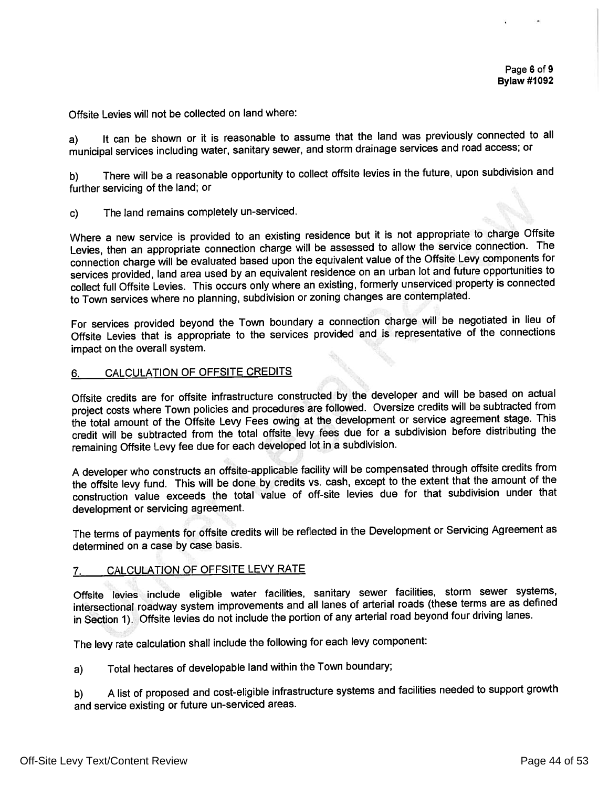Offsite Levies will not be collected on land where:

It can be shown or it is reasonable to assume that the land was previously connected to all  $a)$ municipal services including water, sanitary sewer, and storm drainage services and road access; or

There will be a reasonable opportunity to collect offsite levies in the future, upon subdivision and b) further servicing of the land; or

The land remains completely un-serviced.  $c)$ 

Where a new service is provided to an existing residence but it is not appropriate to charge Offsite Levies, then an appropriate connection charge will be assessed to allow the service connection. The connection charge will be evaluated based upon the equivalent value of the Offsite Levy components for services provided, land area used by an equivalent residence on an urban lot and future opportunities to collect full Offsite Levies. This occurs only where an existing, formerly unserviced property is connected to Town services where no planning, subdivision or zoning changes are contemplated.

For services provided beyond the Town boundary a connection charge will be negotiated in lieu of Offsite Levies that is appropriate to the services provided and is representative of the connections impact on the overall system.

#### CALCULATION OF OFFSITE CREDITS 6.

Offsite credits are for offsite infrastructure constructed by the developer and will be based on actual project costs where Town policies and procedures are followed. Oversize credits will be subtracted from the total amount of the Offsite Levy Fees owing at the development or service agreement stage. This credit will be subtracted from the total offsite levy fees due for a subdivision before distributing the remaining Offsite Levy fee due for each developed lot in a subdivision.

A developer who constructs an offsite-applicable facility will be compensated through offsite credits from the offsite levy fund. This will be done by credits vs. cash, except to the extent that the amount of the construction value exceeds the total value of off-site levies due for that subdivision under that development or servicing agreement.

The terms of payments for offsite credits will be reflected in the Development or Servicing Agreement as determined on a case by case basis.

#### CALCULATION OF OFFSITE LEVY RATE  $7.$

Offsite levies include eligible water facilities, sanitary sewer facilities, storm sewer systems, intersectional roadway system improvements and all lanes of arterial roads (these terms are as defined in Section 1). Offsite levies do not include the portion of any arterial road beyond four driving lanes.

The levy rate calculation shall include the following for each levy component:

Total hectares of developable land within the Town boundary; a)

A list of proposed and cost-eligible infrastructure systems and facilities needed to support growth b) and service existing or future un-serviced areas.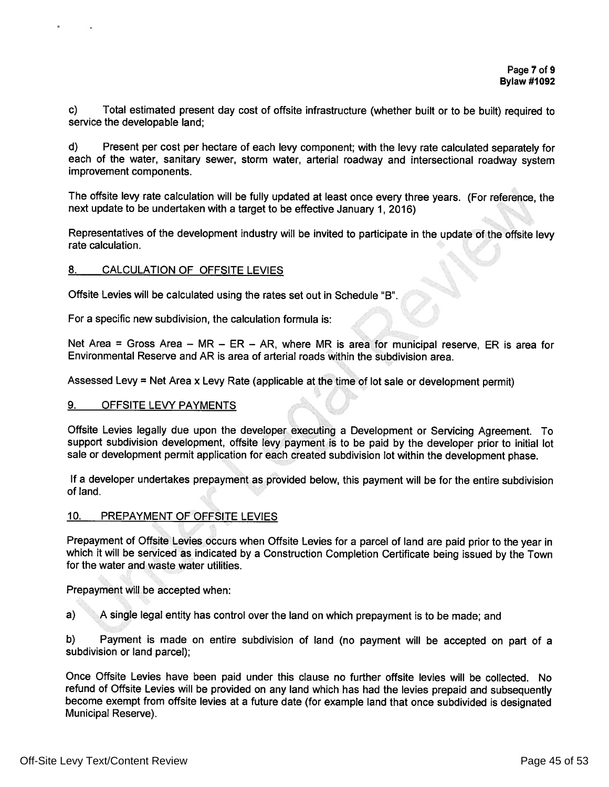c) Total estimated present day cost of offsite infrastructure (whether built or to be built) required to service the developable land:

Present per cost per hectare of each levy component; with the levy rate calculated separately for  $\mathbf{d}$ each of the water, sanitary sewer, storm water, arterial roadway and intersectional roadway system improvement components.

The offsite levy rate calculation will be fully updated at least once every three years. (For reference, the next update to be undertaken with a target to be effective January 1, 2016)

Representatives of the development industry will be invited to participate in the update of the offsite levy rate calculation.

#### CALCULATION OF OFFSITE LEVIES 8.

Offsite Levies will be calculated using the rates set out in Schedule "B".

For a specific new subdivision, the calculation formula is:

Net Area = Gross Area - MR - ER - AR, where MR is area for municipal reserve, ER is area for Environmental Reserve and AR is area of arterial roads within the subdivision area.

Assessed Levy = Net Area x Levy Rate (applicable at the time of lot sale or development permit)

#### 9. **OFFSITE LEVY PAYMENTS**

Offsite Levies legally due upon the developer executing a Development or Servicing Agreement. To support subdivision development, offsite levy payment is to be paid by the developer prior to initial lot sale or development permit application for each created subdivision lot within the development phase.

If a developer undertakes prepayment as provided below, this payment will be for the entire subdivision of land.

#### $10.$ PREPAYMENT OF OFFSITE LEVIES

Prepayment of Offsite Levies occurs when Offsite Levies for a parcel of land are paid prior to the year in which it will be serviced as indicated by a Construction Completion Certificate being issued by the Town for the water and waste water utilities.

Prepayment will be accepted when:

 $a)$ A single legal entity has control over the land on which prepayment is to be made; and

 $b)$ Payment is made on entire subdivision of land (no payment will be accepted on part of a subdivision or land parcel);

Once Offsite Levies have been paid under this clause no further offsite levies will be collected. No refund of Offsite Levies will be provided on any land which has had the levies prepaid and subsequently become exempt from offsite levies at a future date (for example land that once subdivided is designated Municipal Reserve).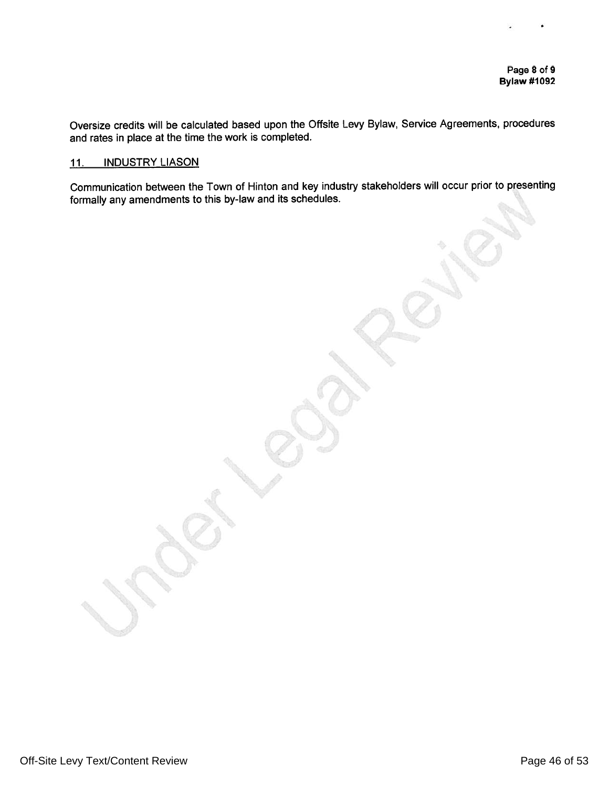Oversize credits will be calculated based upon the Offsite Levy Bylaw, Service Agreements, procedures and rates in place at the time the work is completed.

#### **INDUSTRY LIASON** 11.

Communication between the Town of Hinton and key industry stakeholders will occur prior to presenting formally any amendments to this by-law and its schedules.

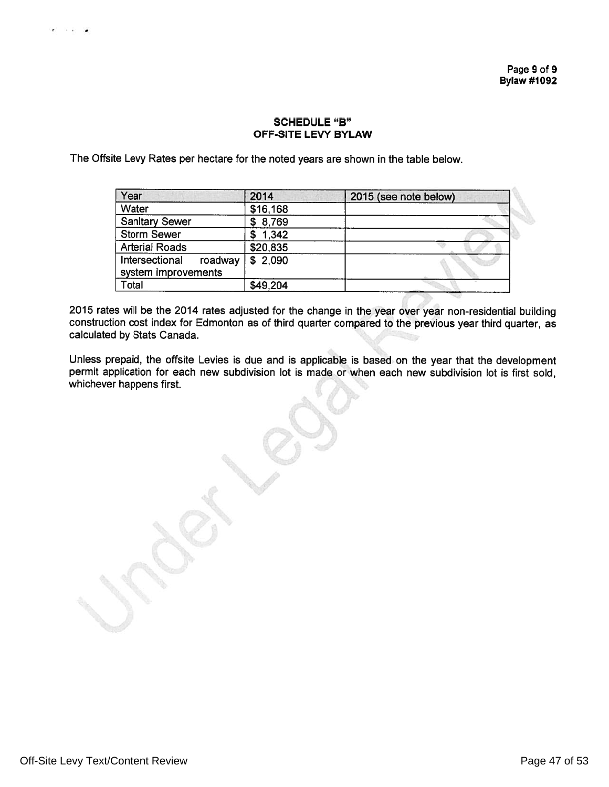# **SCHEDULE "B" OFF-SITE LEVY BYLAW**

The Offsite Levy Rates per hectare for the noted years are shown in the table below.

| Year                                             | 2014     | 2015 (see note below) |
|--------------------------------------------------|----------|-----------------------|
| Water                                            | \$16,168 |                       |
| <b>Sanitary Sewer</b>                            | \$8,769  |                       |
| <b>Storm Sewer</b>                               | \$1,342  |                       |
| <b>Arterial Roads</b>                            | \$20,835 |                       |
| Intersectional<br>roadway<br>system improvements | \$2,090  |                       |
| Total                                            | \$49,204 |                       |

2015 rates will be the 2014 rates adjusted for the change in the year over year non-residential building construction cost index for Edmonton as of third quarter compared to the previous year third quarter, as calculated by Stats Canada.

Unless prepaid, the offsite Levies is due and is applicable is based on the year that the development permit application for each new subdivision lot is made or when each new subdivision lot is first sold, whichever happens first.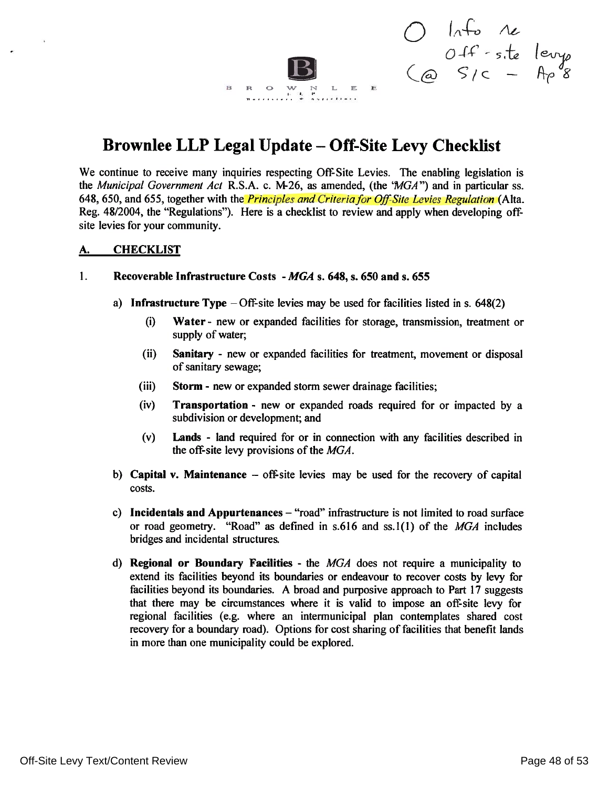$\begin{array}{ccc}\nO & ln f_0 & \wedge e \\
O & f_1 & -s_1te & lev_1e \\
\text{(a)} & S/c & -h_1e & g\n\end{array}$ R O E E

# Brownlee LLP Legal Update – Off-Site Levy Checklist

We continue to receive many inquiries respecting Off-Site Levies. The enabling legislation is the Municipal Government Act R.S.A. c. M-26, as amended, (the 'MGA'') and in particular ss. 648, 650, and 655, together with the *Principles and Criteria for Off-Site Levies Regulation* (Alta. Reg. 48/2004, the "Regulations"). Here is a checklist to review and apply when developing offsite levies for your community.

#### **CHECKLIST** <u>A. </u>

#### $\mathbf{1}$ . Recoverable Infrastructure Costs - MGA s. 648, s. 650 and s. 655

 $\mathbf{R}$ 

- a) Infrastructure Type  $-$  Off-site levies may be used for facilities listed in s. 648(2)
	- $(i)$ Water - new or expanded facilities for storage, transmission, treatment or supply of water;
	- $(ii)$ Sanitary - new or expanded facilities for treatment, movement or disposal of sanitary sewage;
	- $(iii)$ **Storm - new or expanded storm sewer drainage facilities;**
	- $(iv)$ **Transportation** - new or expanded roads required for or impacted by a subdivision or development; and
	- $(v)$ **Lands** - land required for or in connection with any facilities described in the off-site levy provisions of the MGA.
- b) Capital v. Maintenance  $-$  off-site levies may be used for the recovery of capital costs.
- c) Incidentals and Appurtenances "road" infrastructure is not limited to road surface or road geometry. "Road" as defined in s.616 and ss.1(1) of the MGA includes bridges and incidental structures.
- d) Regional or Boundary Facilities the  $MGA$  does not require a municipality to extend its facilities beyond its boundaries or endeavour to recover costs by levy for facilities beyond its boundaries. A broad and purposive approach to Part 17 suggests that there may be circumstances where it is valid to impose an off-site levy for regional facilities (e.g. where an intermunicipal plan contemplates shared cost recovery for a boundary road). Options for cost sharing of facilities that benefit lands in more than one municipality could be explored.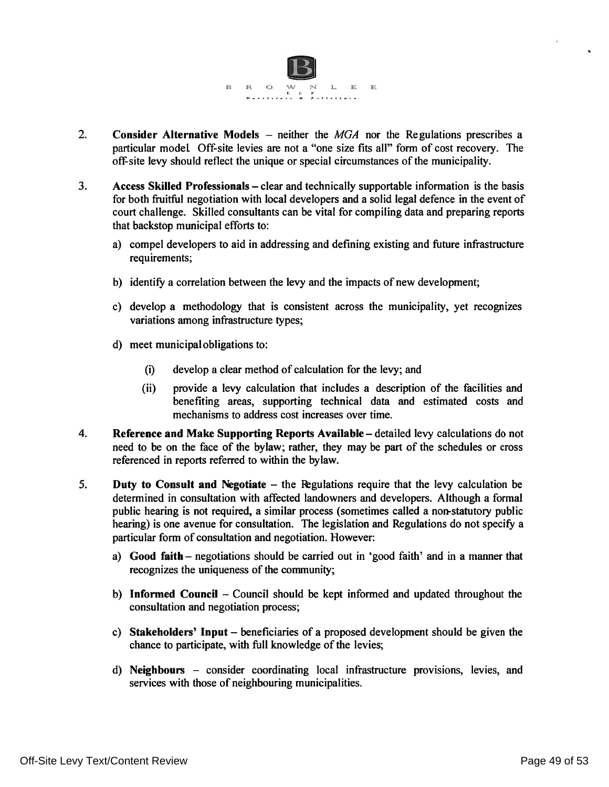

- $\overline{2}$ . **Consider Alternative Models** – neither the  $MGA$  nor the Regulations prescribes a particular model Off-site levies are not a "one size fits all" form of cost recovery. The off-site levy should reflect the unique or special circumstances of the municipality.
- Access Skilled Professionals clear and technically supportable information is the basis  $3.$ for both fruitful negotiation with local developers and a solid legal defence in the event of court challenge. Skilled consultants can be vital for compiling data and preparing reports that backstop municipal efforts to:
	- a) compel developers to aid in addressing and defining existing and future infrastructure requirements;
	- b) identify a correlation between the levy and the impacts of new development;
	- c) develop a methodology that is consistent across the municipality, yet recognizes variations among infrastructure types;
	- d) meet municipal obligations to:
		- develop a clear method of calculation for the levy; and  $(i)$
		- $(ii)$ provide a levy calculation that includes a description of the facilities and benefiting areas, supporting technical data and estimated costs and mechanisms to address cost increases over time.
- $4.$ Reference and Make Supporting Reports Available – detailed levy calculations do not need to be on the face of the bylaw; rather, they may be part of the schedules or cross referenced in reports referred to within the bylaw.
- 5. Duty to Consult and Negotiate – the Regulations require that the levy calculation be determined in consultation with affected landowners and developers. Although a formal public hearing is not required, a similar process (sometimes called a non-statutory public hearing) is one avenue for consultation. The legislation and Regulations do not specify a particular form of consultation and negotiation. However:
	- a) Good faith negotiations should be carried out in 'good faith' and in a manner that recognizes the uniqueness of the community;
	- b) Informed Council Council should be kept informed and updated throughout the consultation and negotiation process;
	- c) Stakeholders' Input beneficiaries of a proposed development should be given the chance to participate, with full knowledge of the levies;
	- d) Neighbours consider coordinating local infrastructure provisions, levies, and services with those of neighbouring municipalities.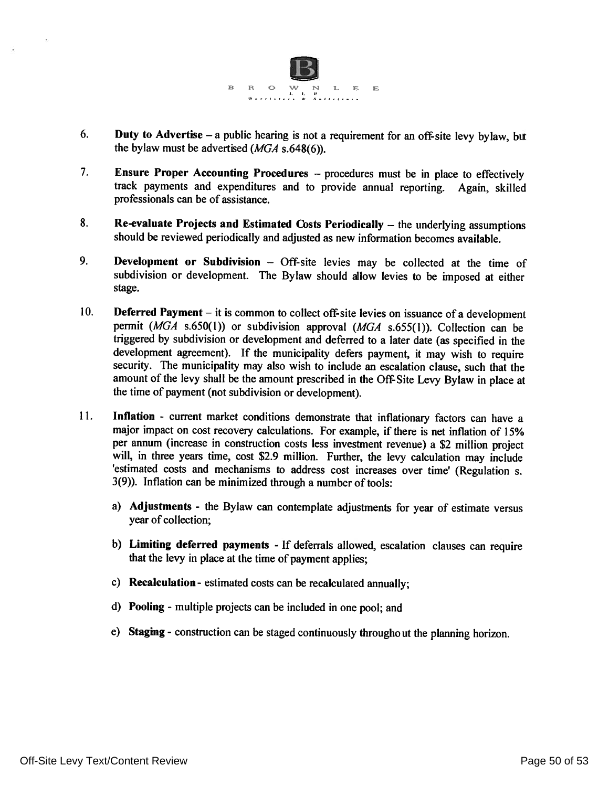

- 6. Duty to Advertise  $-$  a public hearing is not a requirement for an off-site levy bylaw, but the bylaw must be advertised  $(MGA \s.648(6))$ .
- 7. Ensure Proper Accounting Procedures - procedures must be in place to effectively track payments and expenditures and to provide annual reporting. Again, skilled professionals can be of assistance.
- 8. Re-evaluate Projects and Estimated Costs Periodically - the underlying assumptions should be reviewed periodically and adjusted as new information becomes available.
- 9. Development or Subdivision - Off-site levies may be collected at the time of subdivision or development. The Bylaw should allow levies to be imposed at either stage.
- 10. Deferred Payment – it is common to collect off-site levies on issuance of a development permit ( $MGA$  s.650(1)) or subdivision approval ( $MGA$  s.655(1)). Collection can be triggered by subdivision or development and deferred to a later date (as specified in the development agreement). If the municipality defers payment, it may wish to require security. The municipality may also wish to include an escalation clause, such that the amount of the levy shall be the amount prescribed in the Off-Site Levy Bylaw in place at the time of payment (not subdivision or development).
- 11. Inflation - current market conditions demonstrate that inflationary factors can have a major impact on cost recovery calculations. For example, if there is net inflation of 15% per annum (increase in construction costs less investment revenue) a \$2 million project will, in three years time, cost \$2.9 million. Further, the levy calculation may include 'estimated costs and mechanisms to address cost increases over time' (Regulation s. 3(9)). Inflation can be minimized through a number of tools:
	- a) Adjustments the Bylaw can contemplate adjustments for year of estimate versus year of collection;
	- b) Limiting deferred payments If deferrals allowed, escalation clauses can require that the levy in place at the time of payment applies;
	- c) Recalculation estimated costs can be recalculated annually;
	- d) Pooling multiple projects can be included in one pool; and
	- e) Staging construction can be staged continuously throughout the planning horizon.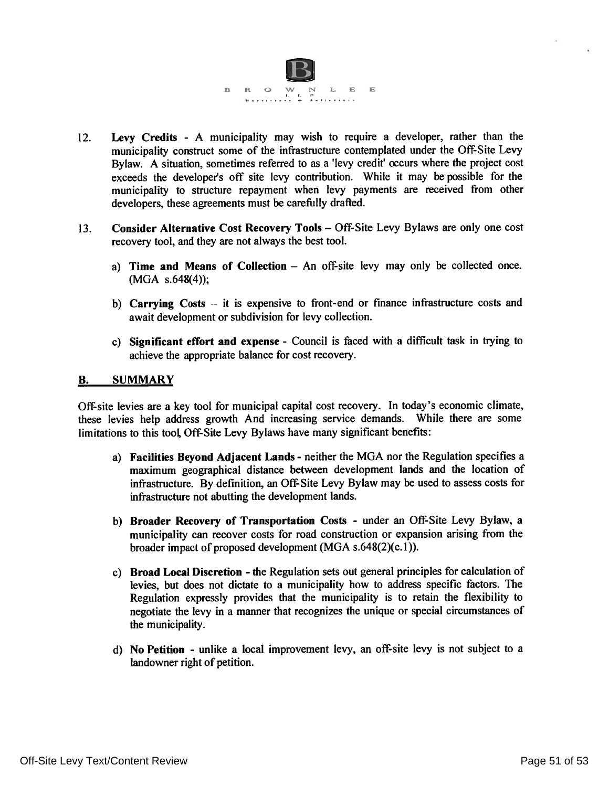

- Levy Credits A municipality may wish to require a developer, rather than the  $12.$ municipality construct some of the infrastructure contemplated under the Off-Site Levy Bylaw. A situation, sometimes referred to as a 'levy credit' occurs where the project cost exceeds the developer's off site levy contribution. While it may be possible for the municipality to structure repayment when levy payments are received from other developers, these agreements must be carefully drafted.
- Consider Alternative Cost Recovery Tools Off-Site Levy Bylaws are only one cost  $13.$ recovery tool, and they are not always the best tool.
	- a) Time and Means of Collection An off-site levy may only be collected once.  $(MGA \ s.648(4));$
	- b) Carrying Costs  $-$  it is expensive to front-end or finance infrastructure costs and await development or subdivision for levy collection.
	- c) Significant effort and expense Council is faced with a difficult task in trying to achieve the appropriate balance for cost recovery.

#### **B. SUMMARY**

Off-site levies are a key tool for municipal capital cost recovery. In today's economic climate, these levies help address growth And increasing service demands. While there are some limitations to this tool Off-Site Levy Bylaws have many significant benefits:

- a) Facilities Beyond Adjacent Lands neither the MGA nor the Regulation specifies a maximum geographical distance between development lands and the location of infrastructure. By definition, an Off-Site Levy Bylaw may be used to assess costs for infrastructure not abutting the development lands.
- b) Broader Recovery of Transportation Costs under an Off-Site Levy Bylaw, a municipality can recover costs for road construction or expansion arising from the broader impact of proposed development (MGA  $s.648(2)(c.1)$ ).
- c) Broad Local Discretion the Regulation sets out general principles for calculation of levies, but does not dictate to a municipality how to address specific factors. The Regulation expressly provides that the municipality is to retain the flexibility to negotiate the levy in a manner that recognizes the unique or special circumstances of the municipality.
- d) No Petition unlike a local improvement levy, an off-site levy is not subject to a landowner right of petition.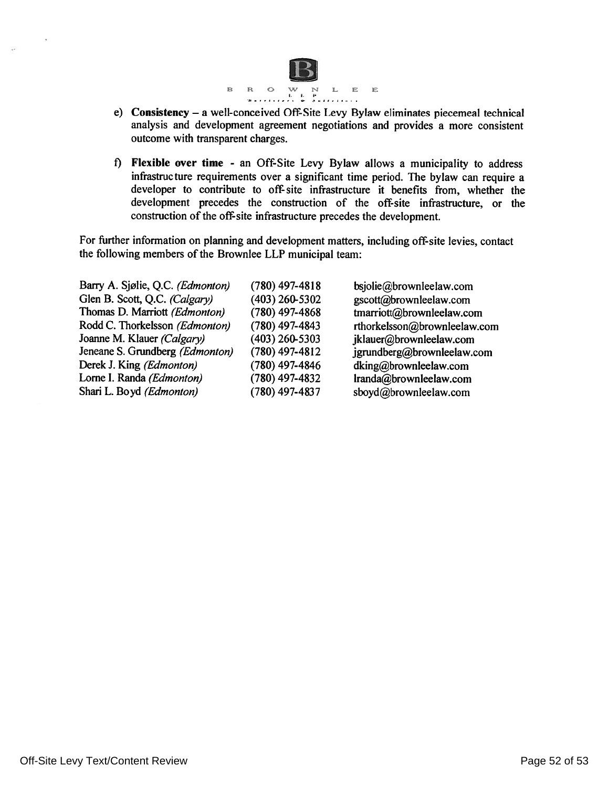

- e) Consistency a well-conceived Off-Site Levy Bylaw eliminates piecemeal technical analysis and development agreement negotiations and provides a more consistent outcome with transparent charges.
- f) Flexible over time an Off-Site Levy Bylaw allows a municipality to address infrastructure requirements over a significant time period. The bylaw can require a developer to contribute to off-site infrastructure it benefits from, whether the development precedes the construction of the off-site infrastructure, or the construction of the off-site infrastructure precedes the development.

For further information on planning and development matters, including off-site levies, contact the following members of the Brownlee LLP municipal team:

| Barry A. Sjølie, Q.C. (Edmonton) | $(780)$ 497-4818 | bsjolie@brownleelaw.com      |
|----------------------------------|------------------|------------------------------|
| Glen B. Scott, Q.C. (Calgary)    | (403) 260-5302   | gscott@brownleelaw.com       |
| Thomas D. Marriott (Edmonton)    | $(780)$ 497-4868 | tmarriott@brownleelaw.com    |
| Rodd C. Thorkelsson (Edmonton)   | (780) 497-4843   | rthorkelsson@brownleelaw.com |
| Joanne M. Klauer (Calgary)       | (403) 260-5303   | jklauer@brownleelaw.com      |
| Jeneane S. Grundberg (Edmonton)  | (780) 497-4812   | jgrundberg@brownleelaw.com   |
| Derek J. King (Edmonton)         | (780) 497-4846   | dking@brownleelaw.com        |
| Lorne I. Randa (Edmonton)        | (780) 497-4832   | lranda@brownleelaw.com       |
| Shari L. Boyd (Edmonton)         | (780) 497-4837   | sboyd@brownleelaw.com        |